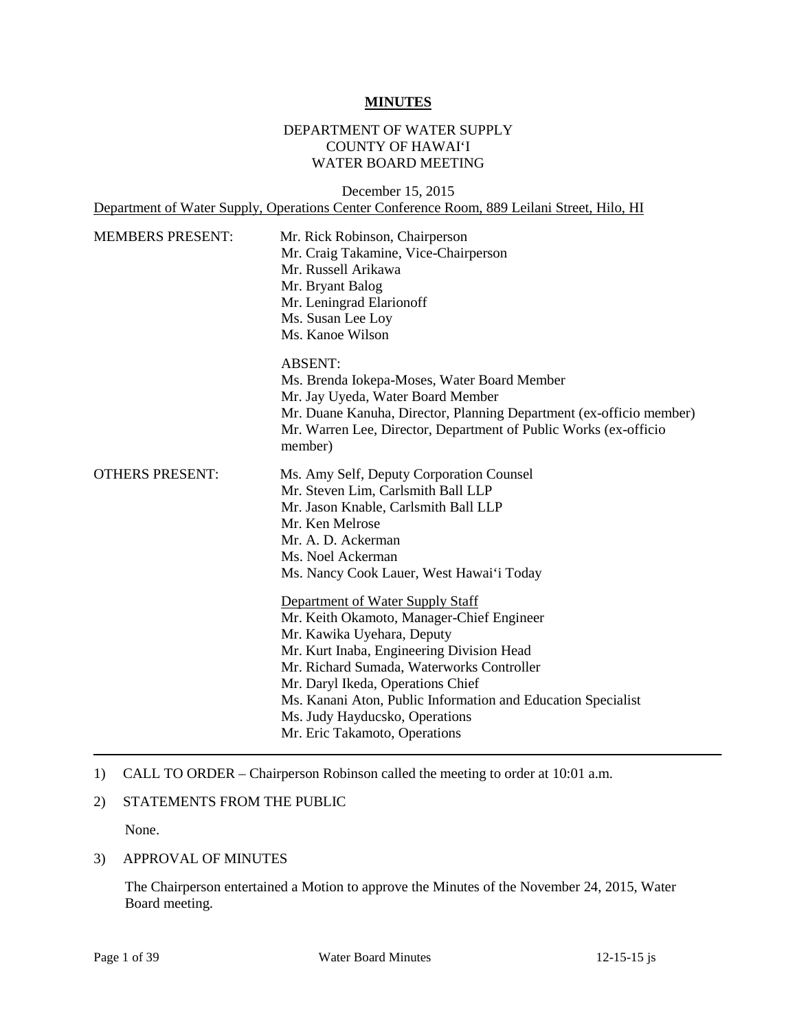#### **MINUTES**

# DEPARTMENT OF WATER SUPPLY COUNTY OF HAWAI'I WATER BOARD MEETING

December 15, 2015 Department of Water Supply, Operations Center Conference Room, 889 Leilani Street, Hilo, HI

| <b>MEMBERS PRESENT:</b> | Mr. Rick Robinson, Chairperson<br>Mr. Craig Takamine, Vice-Chairperson<br>Mr. Russell Arikawa<br>Mr. Bryant Balog<br>Mr. Leningrad Elarionoff<br>Ms. Susan Lee Loy<br>Ms. Kanoe Wilson                                                                                                                                                                                                                                                                                                                                                                                                                            |
|-------------------------|-------------------------------------------------------------------------------------------------------------------------------------------------------------------------------------------------------------------------------------------------------------------------------------------------------------------------------------------------------------------------------------------------------------------------------------------------------------------------------------------------------------------------------------------------------------------------------------------------------------------|
|                         | <b>ABSENT:</b><br>Ms. Brenda Jokepa-Moses, Water Board Member<br>Mr. Jay Uyeda, Water Board Member<br>Mr. Duane Kanuha, Director, Planning Department (ex-officio member)<br>Mr. Warren Lee, Director, Department of Public Works (ex-officio<br>member)                                                                                                                                                                                                                                                                                                                                                          |
| <b>OTHERS PRESENT:</b>  | Ms. Amy Self, Deputy Corporation Counsel<br>Mr. Steven Lim, Carlsmith Ball LLP<br>Mr. Jason Knable, Carlsmith Ball LLP<br>Mr. Ken Melrose<br>Mr. A. D. Ackerman<br>Ms. Noel Ackerman<br>Ms. Nancy Cook Lauer, West Hawai'i Today<br>Department of Water Supply Staff<br>Mr. Keith Okamoto, Manager-Chief Engineer<br>Mr. Kawika Uyehara, Deputy<br>Mr. Kurt Inaba, Engineering Division Head<br>Mr. Richard Sumada, Waterworks Controller<br>Mr. Daryl Ikeda, Operations Chief<br>Ms. Kanani Aton, Public Information and Education Specialist<br>Ms. Judy Hayducsko, Operations<br>Mr. Eric Takamoto, Operations |

### 1) CALL TO ORDER – Chairperson Robinson called the meeting to order at 10:01 a.m.

# 2) STATEMENTS FROM THE PUBLIC

None.

## 3) APPROVAL OF MINUTES

 The Chairperson entertained a Motion to approve the Minutes of the November 24, 2015, Water Board meeting.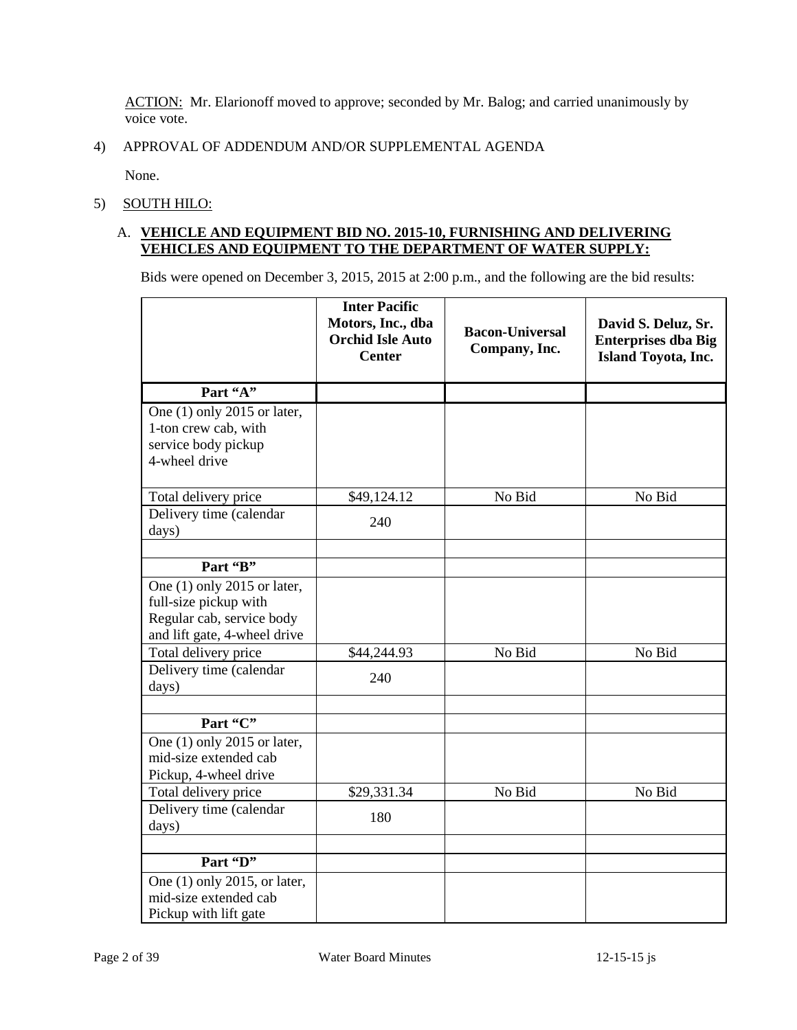ACTION: Mr. Elarionoff moved to approve; seconded by Mr. Balog; and carried unanimously by voice vote.

# 4) APPROVAL OF ADDENDUM AND/OR SUPPLEMENTAL AGENDA

None.

# 5) SOUTH HILO:

# A. **VEHICLE AND EQUIPMENT BID NO. 2015-10, FURNISHING AND DELIVERING VEHICLES AND EQUIPMENT TO THE DEPARTMENT OF WATER SUPPLY:**

Bids were opened on December 3, 2015, 2015 at 2:00 p.m., and the following are the bid results:

|                                                                                                                   | <b>Inter Pacific</b><br>Motors, Inc., dba<br><b>Orchid Isle Auto</b><br><b>Center</b> | <b>Bacon-Universal</b><br>Company, Inc. | David S. Deluz, Sr.<br><b>Enterprises dba Big</b><br>Island Toyota, Inc. |
|-------------------------------------------------------------------------------------------------------------------|---------------------------------------------------------------------------------------|-----------------------------------------|--------------------------------------------------------------------------|
| Part "A"                                                                                                          |                                                                                       |                                         |                                                                          |
| One (1) only 2015 or later,<br>1-ton crew cab, with<br>service body pickup<br>4-wheel drive                       |                                                                                       |                                         |                                                                          |
| Total delivery price                                                                                              | \$49,124.12                                                                           | No Bid                                  | No Bid                                                                   |
| Delivery time (calendar<br>days)                                                                                  | 240                                                                                   |                                         |                                                                          |
|                                                                                                                   |                                                                                       |                                         |                                                                          |
| Part 'B"                                                                                                          |                                                                                       |                                         |                                                                          |
| One (1) only 2015 or later,<br>full-size pickup with<br>Regular cab, service body<br>and lift gate, 4-wheel drive |                                                                                       |                                         |                                                                          |
| Total delivery price                                                                                              | \$44,244.93                                                                           | No Bid                                  | No Bid                                                                   |
| Delivery time (calendar<br>days)                                                                                  | 240                                                                                   |                                         |                                                                          |
|                                                                                                                   |                                                                                       |                                         |                                                                          |
| Part "C"                                                                                                          |                                                                                       |                                         |                                                                          |
| One $(1)$ only 2015 or later,<br>mid-size extended cab<br>Pickup, 4-wheel drive                                   |                                                                                       |                                         |                                                                          |
| Total delivery price                                                                                              | \$29,331.34                                                                           | No Bid                                  | No Bid                                                                   |
| Delivery time (calendar<br>days)                                                                                  | 180                                                                                   |                                         |                                                                          |
|                                                                                                                   |                                                                                       |                                         |                                                                          |
| Part "D"                                                                                                          |                                                                                       |                                         |                                                                          |
| One (1) only 2015, or later,<br>mid-size extended cab<br>Pickup with lift gate                                    |                                                                                       |                                         |                                                                          |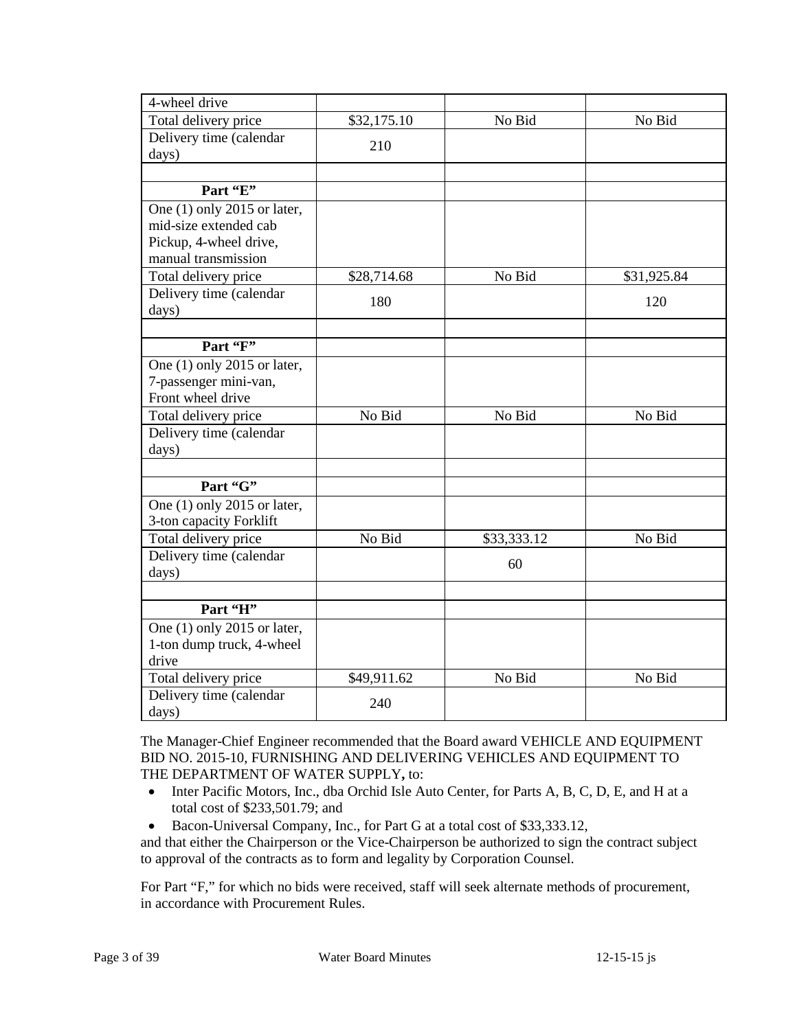| 4-wheel drive                 |             |             |             |
|-------------------------------|-------------|-------------|-------------|
| Total delivery price          | \$32,175.10 | No Bid      | No Bid      |
| Delivery time (calendar       | 210         |             |             |
| days)                         |             |             |             |
|                               |             |             |             |
| Part "E"                      |             |             |             |
| One (1) only 2015 or later,   |             |             |             |
| mid-size extended cab         |             |             |             |
| Pickup, 4-wheel drive,        |             |             |             |
| manual transmission           |             |             |             |
| Total delivery price          | \$28,714.68 | No Bid      | \$31,925.84 |
| Delivery time (calendar       | 180         |             | 120         |
| days)                         |             |             |             |
|                               |             |             |             |
| Part 'F"                      |             |             |             |
| One (1) only 2015 or later,   |             |             |             |
| 7-passenger mini-van,         |             |             |             |
| Front wheel drive             |             |             |             |
| Total delivery price          | No Bid      | No Bid      | No Bid      |
| Delivery time (calendar       |             |             |             |
| days)                         |             |             |             |
|                               |             |             |             |
| Part "G"                      |             |             |             |
| One $(1)$ only 2015 or later, |             |             |             |
| 3-ton capacity Forklift       |             |             |             |
| Total delivery price          | No Bid      | \$33,333.12 | No Bid      |
| Delivery time (calendar       |             | 60          |             |
| days)                         |             |             |             |
|                               |             |             |             |
| Part 'H"                      |             |             |             |
| One (1) only 2015 or later,   |             |             |             |
| 1-ton dump truck, 4-wheel     |             |             |             |
| drive                         |             |             |             |
| Total delivery price          | \$49,911.62 | No Bid      | No Bid      |
| Delivery time (calendar       | 240         |             |             |
| days)                         |             |             |             |

The Manager-Chief Engineer recommended that the Board award VEHICLE AND EQUIPMENT BID NO. 2015-10, FURNISHING AND DELIVERING VEHICLES AND EQUIPMENT TO THE DEPARTMENT OF WATER SUPPLY**,** to:

- Inter Pacific Motors, Inc., dba Orchid Isle Auto Center, for Parts A, B, C, D, E, and H at a total cost of \$233,501.79; and
- Bacon-Universal Company, Inc., for Part G at a total cost of \$33,333.12,

and that either the Chairperson or the Vice-Chairperson be authorized to sign the contract subject to approval of the contracts as to form and legality by Corporation Counsel.

For Part "F," for which no bids were received, staff will seek alternate methods of procurement, in accordance with Procurement Rules.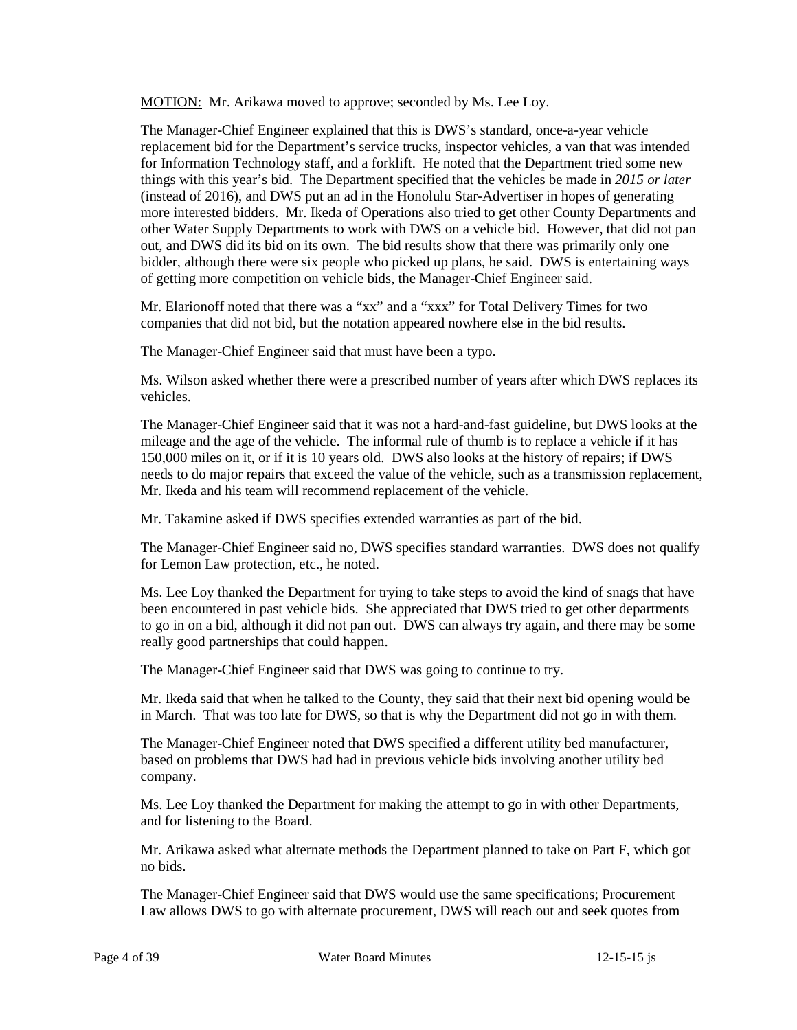MOTION: Mr. Arikawa moved to approve; seconded by Ms. Lee Loy.

 replacement bid for the Department's service trucks, inspector vehicles, a van that was intended things with this year's bid. The Department specified that the vehicles be made in *2015 or later*  bidder, although there were six people who picked up plans, he said. DWS is entertaining ways The Manager-Chief Engineer explained that this is DWS's standard, once-a-year vehicle for Information Technology staff, and a forklift. He noted that the Department tried some new (instead of 2016), and DWS put an ad in the Honolulu Star-Advertiser in hopes of generating more interested bidders. Mr. Ikeda of Operations also tried to get other County Departments and other Water Supply Departments to work with DWS on a vehicle bid. However, that did not pan out, and DWS did its bid on its own. The bid results show that there was primarily only one of getting more competition on vehicle bids, the Manager-Chief Engineer said.

 Mr. Elarionoff noted that there was a "xx" and a "xxx" for Total Delivery Times for two companies that did not bid, but the notation appeared nowhere else in the bid results.

The Manager-Chief Engineer said that must have been a typo.

Ms. Wilson asked whether there were a prescribed number of years after which DWS replaces its vehicles.

 mileage and the age of the vehicle. The informal rule of thumb is to replace a vehicle if it has 150,000 miles on it, or if it is 10 years old. DWS also looks at the history of repairs; if DWS needs to do major repairs that exceed the value of the vehicle, such as a transmission replacement, The Manager-Chief Engineer said that it was not a hard-and-fast guideline, but DWS looks at the Mr. Ikeda and his team will recommend replacement of the vehicle.

Mr. Takamine asked if DWS specifies extended warranties as part of the bid.

The Manager-Chief Engineer said no, DWS specifies standard warranties. DWS does not qualify for Lemon Law protection, etc., he noted.

 been encountered in past vehicle bids. She appreciated that DWS tried to get other departments Ms. Lee Loy thanked the Department for trying to take steps to avoid the kind of snags that have to go in on a bid, although it did not pan out. DWS can always try again, and there may be some really good partnerships that could happen.

The Manager-Chief Engineer said that DWS was going to continue to try.

 Mr. Ikeda said that when he talked to the County, they said that their next bid opening would be in March. That was too late for DWS, so that is why the Department did not go in with them.

 The Manager-Chief Engineer noted that DWS specified a different utility bed manufacturer, based on problems that DWS had had in previous vehicle bids involving another utility bed company.

Ms. Lee Loy thanked the Department for making the attempt to go in with other Departments, and for listening to the Board.

Mr. Arikawa asked what alternate methods the Department planned to take on Part F, which got no bids.

The Manager-Chief Engineer said that DWS would use the same specifications; Procurement Law allows DWS to go with alternate procurement, DWS will reach out and seek quotes from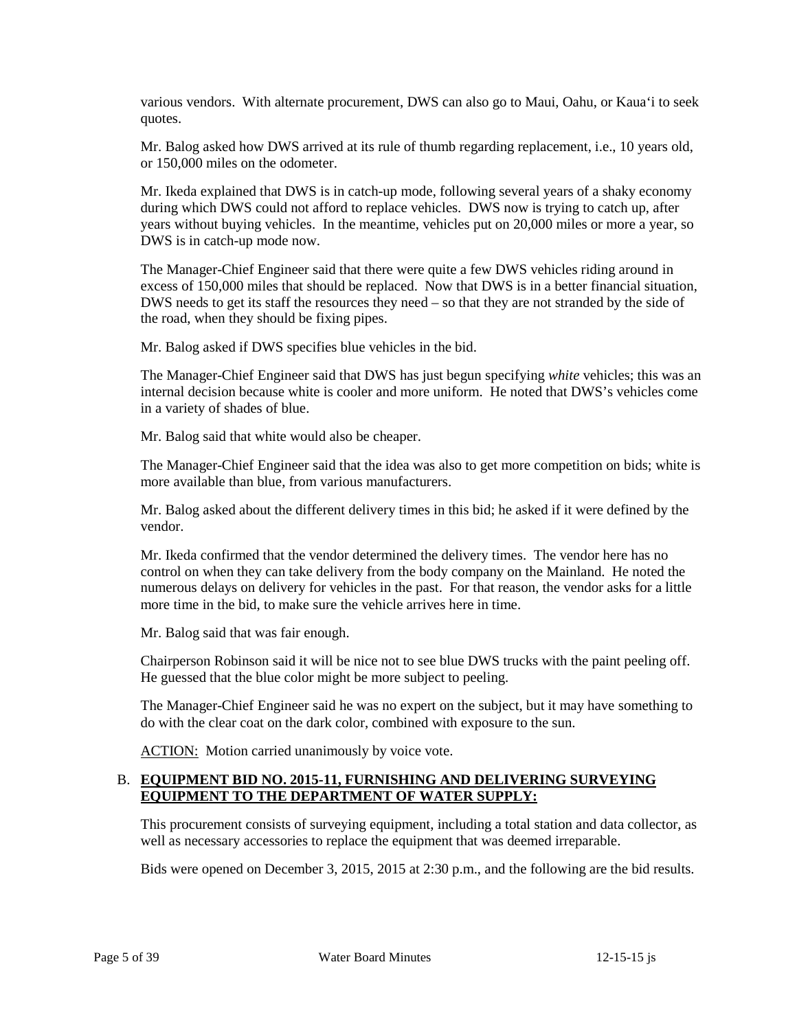various vendors. With alternate procurement, DWS can also go to Maui, Oahu, or Kaua'i to seek quotes.

Mr. Balog asked how DWS arrived at its rule of thumb regarding replacement, i.e., 10 years old, or 150,000 miles on the odometer.

Mr. Ikeda explained that DWS is in catch-up mode, following several years of a shaky economy during which DWS could not afford to replace vehicles. DWS now is trying to catch up, after years without buying vehicles. In the meantime, vehicles put on 20,000 miles or more a year, so DWS is in catch-up mode now.

 excess of 150,000 miles that should be replaced. Now that DWS is in a better financial situation, The Manager-Chief Engineer said that there were quite a few DWS vehicles riding around in DWS needs to get its staff the resources they need – so that they are not stranded by the side of the road, when they should be fixing pipes.

Mr. Balog asked if DWS specifies blue vehicles in the bid.

 The Manager-Chief Engineer said that DWS has just begun specifying *white* vehicles; this was an internal decision because white is cooler and more uniform. He noted that DWS's vehicles come in a variety of shades of blue.

Mr. Balog said that white would also be cheaper.

 The Manager-Chief Engineer said that the idea was also to get more competition on bids; white is more available than blue, from various manufacturers.

Mr. Balog asked about the different delivery times in this bid; he asked if it were defined by the vendor.

 numerous delays on delivery for vehicles in the past. For that reason, the vendor asks for a little Mr. Ikeda confirmed that the vendor determined the delivery times. The vendor here has no control on when they can take delivery from the body company on the Mainland. He noted the more time in the bid, to make sure the vehicle arrives here in time.

Mr. Balog said that was fair enough.

Chairperson Robinson said it will be nice not to see blue DWS trucks with the paint peeling off. He guessed that the blue color might be more subject to peeling.

 do with the clear coat on the dark color, combined with exposure to the sun. The Manager-Chief Engineer said he was no expert on the subject, but it may have something to

ACTION: Motion carried unanimously by voice vote.

# B. **EQUIPMENT BID NO. 2015-11, FURNISHING AND DELIVERING SURVEYING EQUIPMENT TO THE DEPARTMENT OF WATER SUPPLY:**

 This procurement consists of surveying equipment, including a total station and data collector, as well as necessary accessories to replace the equipment that was deemed irreparable.

Bids were opened on December 3, 2015, 2015 at 2:30 p.m., and the following are the bid results.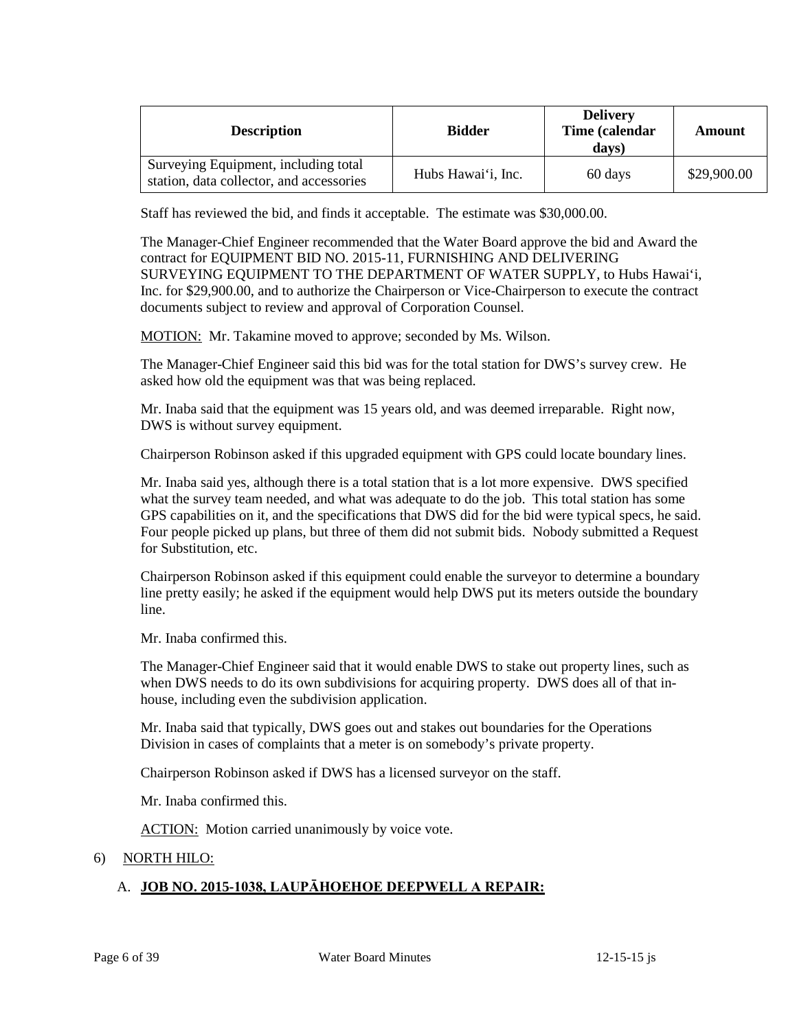| <b>Description</b>                                                               | <b>Bidder</b>      | <b>Delivery</b><br>Time (calendar<br>days) | Amount      |
|----------------------------------------------------------------------------------|--------------------|--------------------------------------------|-------------|
| Surveying Equipment, including total<br>station, data collector, and accessories | Hubs Hawai'i, Inc. | 60 days                                    | \$29,900.00 |

Staff has reviewed the bid, and finds it acceptable. The estimate was \$30,000.00.

 The Manager-Chief Engineer recommended that the Water Board approve the bid and Award the Inc. for \$29,900.00, and to authorize the Chairperson or Vice-Chairperson to execute the contract contract for EQUIPMENT BID NO. 2015-11, FURNISHING AND DELIVERING SURVEYING EQUIPMENT TO THE DEPARTMENT OF WATER SUPPLY, to Hubs Hawai'i, documents subject to review and approval of Corporation Counsel.

MOTION: Mr. Takamine moved to approve; seconded by Ms. Wilson.

 asked how old the equipment was that was being replaced. The Manager-Chief Engineer said this bid was for the total station for DWS's survey crew. He

Mr. Inaba said that the equipment was 15 years old, and was deemed irreparable. Right now, DWS is without survey equipment.

Chairperson Robinson asked if this upgraded equipment with GPS could locate boundary lines.

 GPS capabilities on it, and the specifications that DWS did for the bid were typical specs, he said. Four people picked up plans, but three of them did not submit bids. Nobody submitted a Request Mr. Inaba said yes, although there is a total station that is a lot more expensive. DWS specified what the survey team needed, and what was adequate to do the job. This total station has some for Substitution, etc.

 line pretty easily; he asked if the equipment would help DWS put its meters outside the boundary Chairperson Robinson asked if this equipment could enable the surveyor to determine a boundary line.

Mr. Inaba confirmed this.

 when DWS needs to do its own subdivisions for acquiring property. DWS does all of that in-The Manager-Chief Engineer said that it would enable DWS to stake out property lines, such as house, including even the subdivision application.

 Mr. Inaba said that typically, DWS goes out and stakes out boundaries for the Operations Division in cases of complaints that a meter is on somebody's private property.

Chairperson Robinson asked if DWS has a licensed surveyor on the staff.

Mr. Inaba confirmed this.

ACTION: Motion carried unanimously by voice vote.

### 6) NORTH HILO:

# A. **JOB NO. 2015-1038, LAUPĀHOEHOE DEEPWELL A REPAIR:**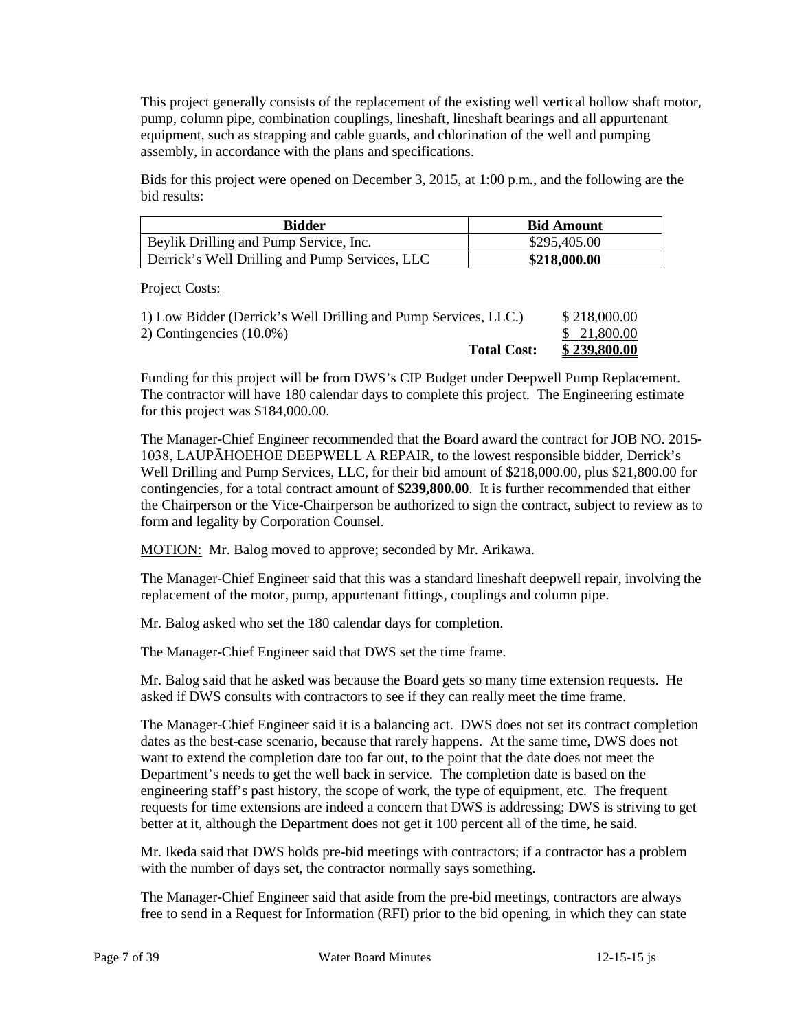This project generally consists of the replacement of the existing well vertical hollow shaft motor, pump, column pipe, combination couplings, lineshaft, lineshaft bearings and all appurtenant equipment, such as strapping and cable guards, and chlorination of the well and pumping assembly, in accordance with the plans and specifications.

 Bids for this project were opened on December 3, 2015, at 1:00 p.m., and the following are the bid results:

| <b>Bidder</b>                                  | <b>Bid Amount</b> |
|------------------------------------------------|-------------------|
| Beylik Drilling and Pump Service, Inc.         | \$295,405.00      |
| Derrick's Well Drilling and Pump Services, LLC | \$218,000.00      |

Project Costs:

| 1) Low Bidder (Derrick's Well Drilling and Pump Services, LLC.) | \$218,000.00 |
|-----------------------------------------------------------------|--------------|
| 2) Contingencies $(10.0\%)$                                     | \$ 21,800.00 |
| <b>Total Cost:</b>                                              | \$239,800.00 |

 The contractor will have 180 calendar days to complete this project. The Engineering estimate Funding for this project will be from DWS's CIP Budget under Deepwell Pump Replacement. for this project was \$184,000.00.

 contingencies, for a total contract amount of **\$239,800.00**. It is further recommended that either the Chairperson or the Vice-Chairperson be authorized to sign the contract, subject to review as to The Manager-Chief Engineer recommended that the Board award the contract for JOB NO. 2015 1038, LAUPĀHOEHOE DEEPWELL A REPAIR, to the lowest responsible bidder, Derrick's Well Drilling and Pump Services, LLC, for their bid amount of \$218,000.00, plus \$21,800.00 for form and legality by Corporation Counsel.

MOTION: Mr. Balog moved to approve; seconded by Mr. Arikawa.

 The Manager-Chief Engineer said that this was a standard lineshaft deepwell repair, involving the replacement of the motor, pump, appurtenant fittings, couplings and column pipe.

Mr. Balog asked who set the 180 calendar days for completion.

The Manager-Chief Engineer said that DWS set the time frame.

 Mr. Balog said that he asked was because the Board gets so many time extension requests. He asked if DWS consults with contractors to see if they can really meet the time frame.

 The Manager-Chief Engineer said it is a balancing act. DWS does not set its contract completion want to extend the completion date too far out, to the point that the date does not meet the Department's needs to get the well back in service. The completion date is based on the engineering staff's past history, the scope of work, the type of equipment, etc. The frequent requests for time extensions are indeed a concern that DWS is addressing; DWS is striving to get better at it, although the Department does not get it 100 percent all of the time, he said. dates as the best-case scenario, because that rarely happens. At the same time, DWS does not

 Mr. Ikeda said that DWS holds pre-bid meetings with contractors; if a contractor has a problem with the number of days set, the contractor normally says something.

The Manager-Chief Engineer said that aside from the pre-bid meetings, contractors are always free to send in a Request for Information (RFI) prior to the bid opening, in which they can state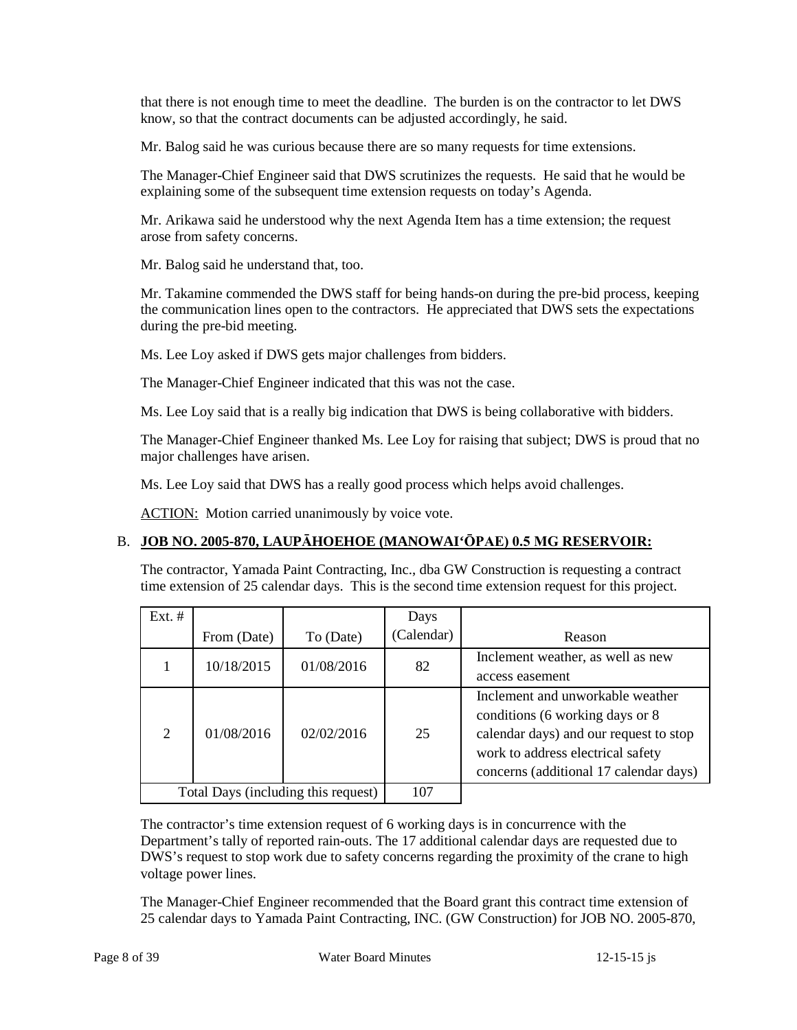that there is not enough time to meet the deadline. The burden is on the contractor to let DWS know, so that the contract documents can be adjusted accordingly, he said.

Mr. Balog said he was curious because there are so many requests for time extensions.

 The Manager-Chief Engineer said that DWS scrutinizes the requests. He said that he would be explaining some of the subsequent time extension requests on today's Agenda.

 Mr. Arikawa said he understood why the next Agenda Item has a time extension; the request arose from safety concerns.

Mr. Balog said he understand that, too.

Mr. Takamine commended the DWS staff for being hands-on during the pre-bid process, keeping the communication lines open to the contractors. He appreciated that DWS sets the expectations during the pre-bid meeting.

Ms. Lee Loy asked if DWS gets major challenges from bidders.

The Manager-Chief Engineer indicated that this was not the case.

Ms. Lee Loy said that is a really big indication that DWS is being collaborative with bidders.

The Manager-Chief Engineer thanked Ms. Lee Loy for raising that subject; DWS is proud that no major challenges have arisen.

Ms. Lee Loy said that DWS has a really good process which helps avoid challenges.

ACTION: Motion carried unanimously by voice vote.

### B. **JOB NO. 2005-870, LAUPĀHOEHOE (MANOWAI'ŌPAE) 0.5 MG RESERVOIR:**

The contractor, Yamada Paint Contracting, Inc., dba GW Construction is requesting a contract time extension of 25 calendar days. This is the second time extension request for this project.

| $Ext.$ #       |             |                                     | Days       |                                                                                                                                                                                               |
|----------------|-------------|-------------------------------------|------------|-----------------------------------------------------------------------------------------------------------------------------------------------------------------------------------------------|
|                | From (Date) | To (Date)                           | (Calendar) | Reason                                                                                                                                                                                        |
|                | 10/18/2015  | 01/08/2016                          | 82         | Inclement weather, as well as new<br>access easement                                                                                                                                          |
| $\overline{2}$ | 01/08/2016  | 02/02/2016                          | 25         | Inclement and unworkable weather<br>conditions (6 working days or 8)<br>calendar days) and our request to stop<br>work to address electrical safety<br>concerns (additional 17 calendar days) |
|                |             | Total Days (including this request) | 107        |                                                                                                                                                                                               |

 Department's tally of reported rain-outs. The 17 additional calendar days are requested due to The contractor's time extension request of 6 working days is in concurrence with the DWS's request to stop work due to safety concerns regarding the proximity of the crane to high voltage power lines.

 25 calendar days to Yamada Paint Contracting, INC. (GW Construction) for JOB NO. 2005-870, The Manager-Chief Engineer recommended that the Board grant this contract time extension of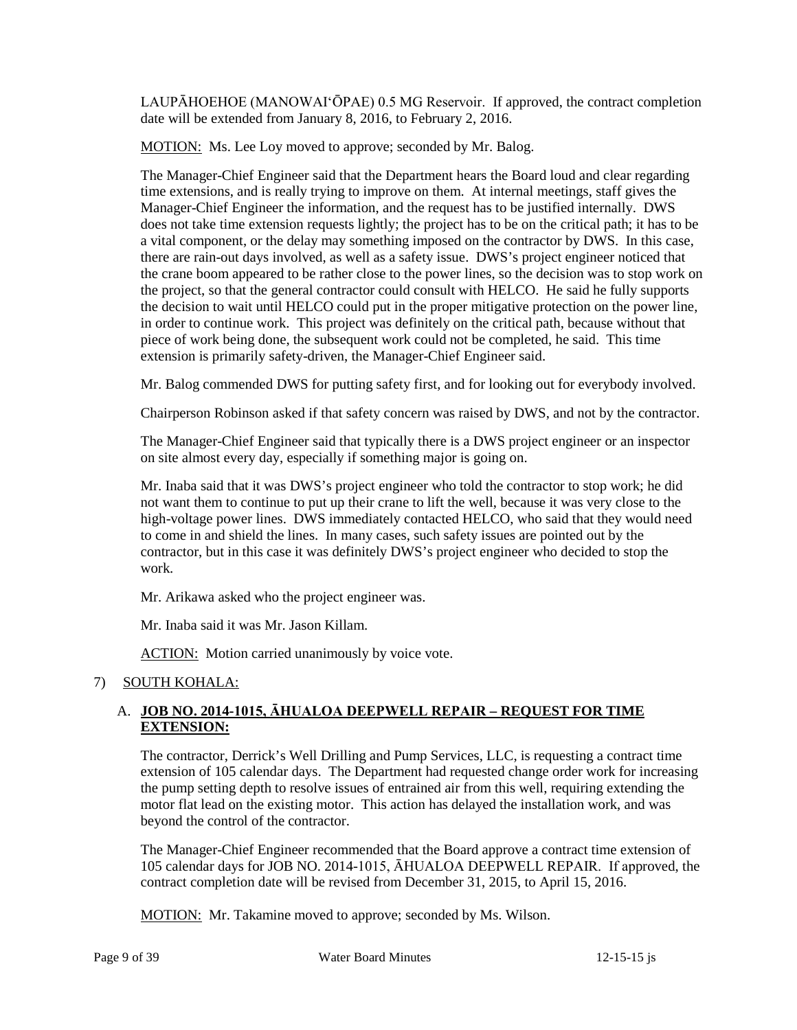LAUPĀHOEHOE (MANOWAI'ŌPAE) 0.5 MG Reservoir. If approved, the contract completion date will be extended from January 8, 2016, to February 2, 2016.

MOTION: Ms. Lee Loy moved to approve; seconded by Mr. Balog.

 The Manager-Chief Engineer said that the Department hears the Board loud and clear regarding Manager-Chief Engineer the information, and the request has to be justified internally. DWS does not take time extension requests lightly; the project has to be on the critical path; it has to be the project, so that the general contractor could consult with HELCO. He said he fully supports in order to continue work. This project was definitely on the critical path, because without that piece of work being done, the subsequent work could not be completed, he said. This time time extensions, and is really trying to improve on them. At internal meetings, staff gives the a vital component, or the delay may something imposed on the contractor by DWS. In this case, there are rain-out days involved, as well as a safety issue. DWS's project engineer noticed that the crane boom appeared to be rather close to the power lines, so the decision was to stop work on the decision to wait until HELCO could put in the proper mitigative protection on the power line, extension is primarily safety-driven, the Manager-Chief Engineer said.

Mr. Balog commended DWS for putting safety first, and for looking out for everybody involved.

Chairperson Robinson asked if that safety concern was raised by DWS, and not by the contractor.

 The Manager-Chief Engineer said that typically there is a DWS project engineer or an inspector on site almost every day, especially if something major is going on.

 Mr. Inaba said that it was DWS's project engineer who told the contractor to stop work; he did not want them to continue to put up their crane to lift the well, because it was very close to the high-voltage power lines. DWS immediately contacted HELCO, who said that they would need to come in and shield the lines. In many cases, such safety issues are pointed out by the contractor, but in this case it was definitely DWS's project engineer who decided to stop the work.

Mr. Arikawa asked who the project engineer was.

Mr. Inaba said it was Mr. Jason Killam.

ACTION: Motion carried unanimously by voice vote.

### 7) SOUTH KOHALA:

# A. **JOB NO. 2014-1015, ĀHUALOA DEEPWELL REPAIR – REQUEST FOR TIME EXTENSION:**

 motor flat lead on the existing motor. This action has delayed the installation work, and was beyond the control of the contractor. The contractor, Derrick's Well Drilling and Pump Services, LLC, is requesting a contract time extension of 105 calendar days. The Department had requested change order work for increasing the pump setting depth to resolve issues of entrained air from this well, requiring extending the

 The Manager-Chief Engineer recommended that the Board approve a contract time extension of 105 calendar days for JOB NO. 2014-1015, ĀHUALOA DEEPWELL REPAIR. If approved, the contract completion date will be revised from December 31, 2015, to April 15, 2016.

MOTION: Mr. Takamine moved to approve; seconded by Ms. Wilson.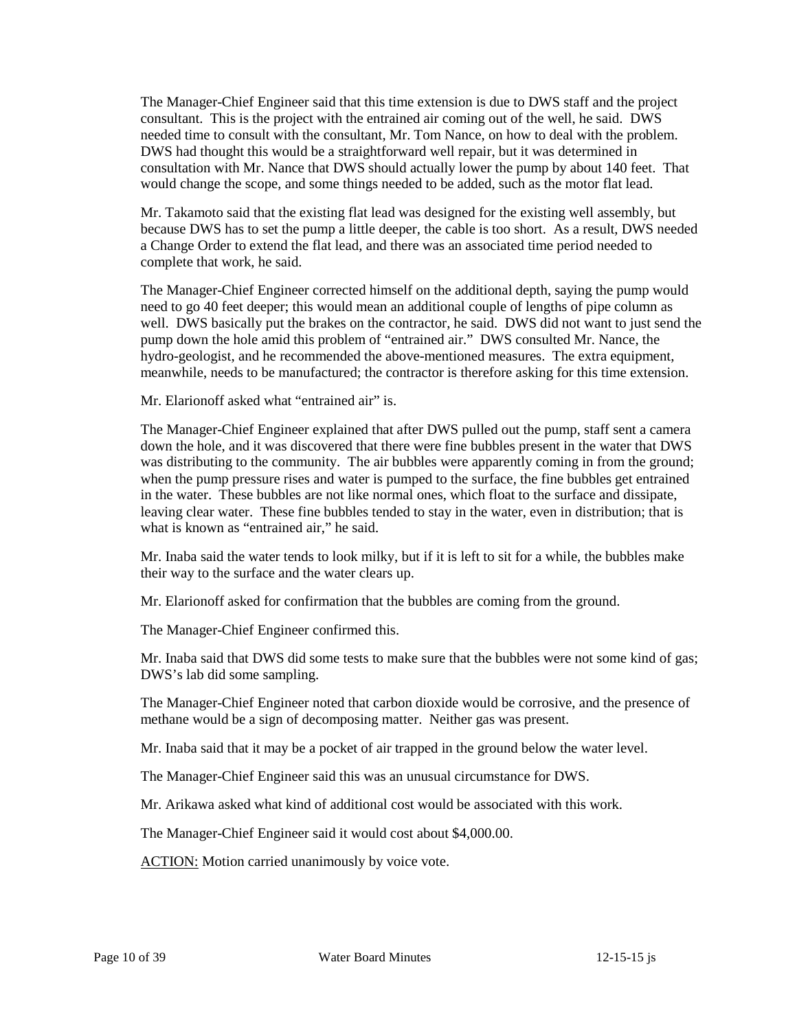consultant. This is the project with the entrained air coming out of the well, he said. DWS would change the scope, and some things needed to be added, such as the motor flat lead. The Manager-Chief Engineer said that this time extension is due to DWS staff and the project needed time to consult with the consultant, Mr. Tom Nance, on how to deal with the problem. DWS had thought this would be a straightforward well repair, but it was determined in consultation with Mr. Nance that DWS should actually lower the pump by about 140 feet. That

 because DWS has to set the pump a little deeper, the cable is too short. As a result, DWS needed a Change Order to extend the flat lead, and there was an associated time period needed to Mr. Takamoto said that the existing flat lead was designed for the existing well assembly, but complete that work, he said.

 The Manager-Chief Engineer corrected himself on the additional depth, saying the pump would need to go 40 feet deeper; this would mean an additional couple of lengths of pipe column as well. DWS basically put the brakes on the contractor, he said. DWS did not want to just send the pump down the hole amid this problem of "entrained air." DWS consulted Mr. Nance, the hydro-geologist, and he recommended the above-mentioned measures. The extra equipment, meanwhile, needs to be manufactured; the contractor is therefore asking for this time extension.

Mr. Elarionoff asked what "entrained air" is.

 The Manager-Chief Engineer explained that after DWS pulled out the pump, staff sent a camera leaving clear water. These fine bubbles tended to stay in the water, even in distribution; that is down the hole, and it was discovered that there were fine bubbles present in the water that DWS was distributing to the community. The air bubbles were apparently coming in from the ground; when the pump pressure rises and water is pumped to the surface, the fine bubbles get entrained in the water. These bubbles are not like normal ones, which float to the surface and dissipate, what is known as "entrained air," he said.

Mr. Inaba said the water tends to look milky, but if it is left to sit for a while, the bubbles make their way to the surface and the water clears up.

Mr. Elarionoff asked for confirmation that the bubbles are coming from the ground.

The Manager-Chief Engineer confirmed this.

Mr. Inaba said that DWS did some tests to make sure that the bubbles were not some kind of gas; DWS's lab did some sampling.

 methane would be a sign of decomposing matter. Neither gas was present. The Manager-Chief Engineer noted that carbon dioxide would be corrosive, and the presence of

Mr. Inaba said that it may be a pocket of air trapped in the ground below the water level.

The Manager-Chief Engineer said this was an unusual circumstance for DWS.

Mr. Arikawa asked what kind of additional cost would be associated with this work.

The Manager-Chief Engineer said it would cost about \$4,000.00.

ACTION: Motion carried unanimously by voice vote.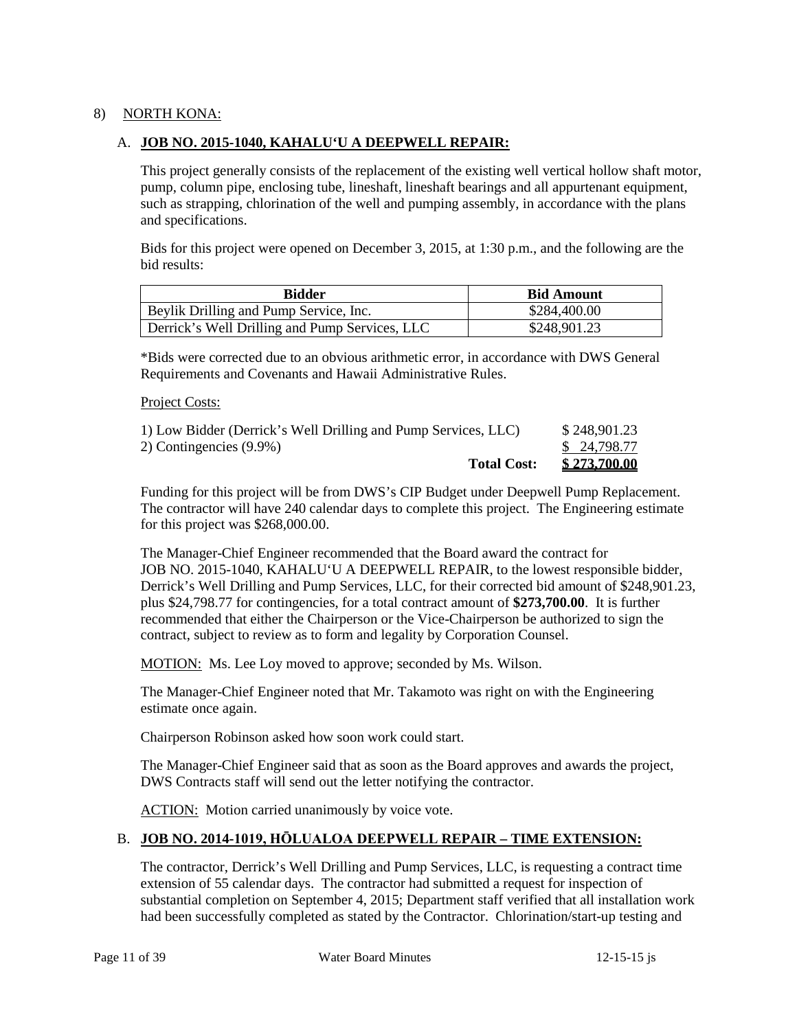# 8) NORTH KONA:

### A. **JOB NO. 2015-1040, KAHALU'U A DEEPWELL REPAIR:**

This project generally consists of the replacement of the existing well vertical hollow shaft motor, pump, column pipe, enclosing tube, lineshaft, lineshaft bearings and all appurtenant equipment, such as strapping, chlorination of the well and pumping assembly, in accordance with the plans and specifications.

 Bids for this project were opened on December 3, 2015, at 1:30 p.m., and the following are the bid results:

| <b>Bidder</b>                                  | <b>Bid Amount</b> |
|------------------------------------------------|-------------------|
| Beylik Drilling and Pump Service, Inc.         | \$284,400.00      |
| Derrick's Well Drilling and Pump Services, LLC | \$248,901.23      |

\*Bids were corrected due to an obvious arithmetic error, in accordance with DWS General Requirements and Covenants and Hawaii Administrative Rules.

#### Project Costs:

| 1) Low Bidder (Derrick's Well Drilling and Pump Services, LLC) | \$248,901.23 |
|----------------------------------------------------------------|--------------|
| 2) Contingencies (9.9%)                                        | \$ 24,798.77 |
| <b>Total Cost:</b>                                             | \$273,700.00 |

 The contractor will have 240 calendar days to complete this project. The Engineering estimate Funding for this project will be from DWS's CIP Budget under Deepwell Pump Replacement. for this project was \$268,000.00.

 recommended that either the Chairperson or the Vice-Chairperson be authorized to sign the contract, subject to review as to form and legality by Corporation Counsel. The Manager-Chief Engineer recommended that the Board award the contract for JOB NO. 2015-1040, KAHALU'U A DEEPWELL REPAIR, to the lowest responsible bidder, Derrick's Well Drilling and Pump Services, LLC, for their corrected bid amount of \$248,901.23, plus \$24,798.77 for contingencies, for a total contract amount of **\$273,700.00**. It is further

MOTION: Ms. Lee Loy moved to approve; seconded by Ms. Wilson.

 estimate once again. The Manager-Chief Engineer noted that Mr. Takamoto was right on with the Engineering

Chairperson Robinson asked how soon work could start.

The Manager-Chief Engineer said that as soon as the Board approves and awards the project, DWS Contracts staff will send out the letter notifying the contractor.

ACTION: Motion carried unanimously by voice vote.

### B. **JOB NO. 2014-1019, HŌLUALOA DEEPWELL REPAIR – TIME EXTENSION:**

The contractor, Derrick's Well Drilling and Pump Services, LLC, is requesting a contract time extension of 55 calendar days. The contractor had submitted a request for inspection of substantial completion on September 4, 2015; Department staff verified that all installation work had been successfully completed as stated by the Contractor. Chlorination/start-up testing and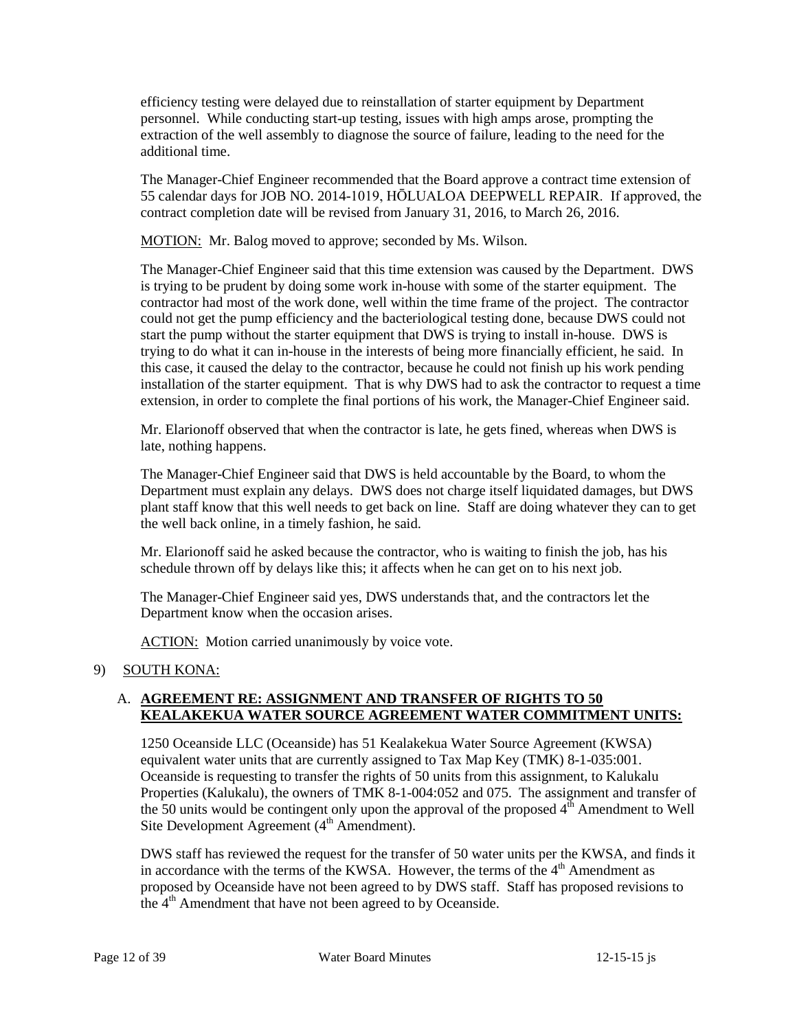extraction of the well assembly to diagnose the source of failure, leading to the need for the efficiency testing were delayed due to reinstallation of starter equipment by Department personnel. While conducting start-up testing, issues with high amps arose, prompting the additional time.

 The Manager-Chief Engineer recommended that the Board approve a contract time extension of 55 calendar days for JOB NO. 2014-1019, HŌLUALOA DEEPWELL REPAIR. If approved, the contract completion date will be revised from January 31, 2016, to March 26, 2016.

MOTION: Mr. Balog moved to approve; seconded by Ms. Wilson.

 is trying to be prudent by doing some work in-house with some of the starter equipment. The contractor had most of the work done, well within the time frame of the project. The contractor start the pump without the starter equipment that DWS is trying to install in-house. DWS is trying to do what it can in-house in the interests of being more financially efficient, he said. In installation of the starter equipment. That is why DWS had to ask the contractor to request a time The Manager-Chief Engineer said that this time extension was caused by the Department. DWS could not get the pump efficiency and the bacteriological testing done, because DWS could not this case, it caused the delay to the contractor, because he could not finish up his work pending extension, in order to complete the final portions of his work, the Manager-Chief Engineer said.

Mr. Elarionoff observed that when the contractor is late, he gets fined, whereas when DWS is late, nothing happens.

 The Manager-Chief Engineer said that DWS is held accountable by the Board, to whom the Department must explain any delays. DWS does not charge itself liquidated damages, but DWS plant staff know that this well needs to get back on line. Staff are doing whatever they can to get the well back online, in a timely fashion, he said.

 Mr. Elarionoff said he asked because the contractor, who is waiting to finish the job, has his schedule thrown off by delays like this; it affects when he can get on to his next job.

 The Manager-Chief Engineer said yes, DWS understands that, and the contractors let the Department know when the occasion arises.

ACTION: Motion carried unanimously by voice vote.

# 9) SOUTH KONA:

# A. **AGREEMENT RE: ASSIGNMENT AND TRANSFER OF RIGHTS TO 50 KEALAKEKUA WATER SOURCE AGREEMENT WATER COMMITMENT UNITS:**

 equivalent water units that are currently assigned to Tax Map Key (TMK) 8-1-035:001. Properties (Kalukalu), the owners of TMK 8-1-004:052 and 075. The assignment and transfer of 1250 Oceanside LLC (Oceanside) has 51 Kealakekua Water Source Agreement (KWSA) Oceanside is requesting to transfer the rights of 50 units from this assignment, to Kalukalu the 50 units would be contingent only upon the approval of the proposed  $4<sup>th</sup>$  Amendment to Well Site Development Agreement  $(4<sup>th</sup>$  Amendment).

in accordance with the terms of the KWSA. However, the terms of the  $4<sup>th</sup>$  Amendment as proposed by Oceanside have not been agreed to by DWS staff. Staff has proposed revisions to the  $4<sup>th</sup>$  Amendment that have not been agreed to by Oceanside. DWS staff has reviewed the request for the transfer of 50 water units per the KWSA, and finds it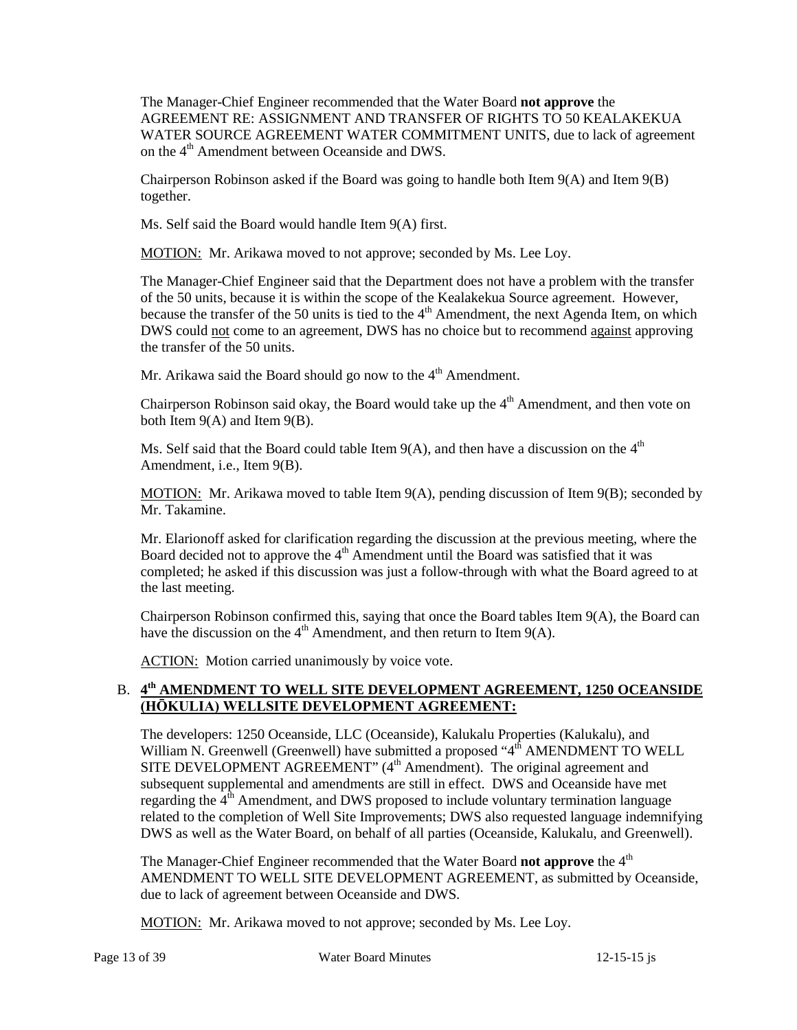The Manager-Chief Engineer recommended that the Water Board **not approve** the AGREEMENT RE: ASSIGNMENT AND TRANSFER OF RIGHTS TO 50 KEALAKEKUA WATER SOURCE AGREEMENT WATER COMMITMENT UNITS, due to lack of agreement on the 4<sup>th</sup> Amendment between Oceanside and DWS.

Chairperson Robinson asked if the Board was going to handle both Item  $9(A)$  and Item  $9(B)$ together.

Ms. Self said the Board would handle Item 9(A) first.

MOTION: Mr. Arikawa moved to not approve; seconded by Ms. Lee Loy.

because the transfer of the 50 units is tied to the  $4<sup>th</sup>$  Amendment, the next Agenda Item, on which DWS could not come to an agreement, DWS has no choice but to recommend against approving The Manager-Chief Engineer said that the Department does not have a problem with the transfer of the 50 units, because it is within the scope of the Kealakekua Source agreement. However, the transfer of the 50 units.

Mr. Arikawa said the Board should go now to the  $4<sup>th</sup>$  Amendment.

Chairperson Robinson said okay, the Board would take up the  $4<sup>th</sup>$  Amendment, and then vote on both Item 9(A) and Item 9(B).

Ms. Self said that the Board could table Item  $9(A)$ , and then have a discussion on the  $4<sup>th</sup>$ Amendment, i.e., Item 9(B).

MOTION: Mr. Arikawa moved to table Item 9(A), pending discussion of Item 9(B); seconded by Mr. Takamine.

Mr. Elarionoff asked for clarification regarding the discussion at the previous meeting, where the Board decided not to approve the  $4<sup>th</sup>$  Amendment until the Board was satisfied that it was completed; he asked if this discussion was just a follow-through with what the Board agreed to at the last meeting.

Chairperson Robinson confirmed this, saying that once the Board tables Item 9(A), the Board can have the discussion on the  $4<sup>th</sup>$  Amendment, and then return to Item 9(A).

ACTION: Motion carried unanimously by voice vote.

# B. **4th AMENDMENT TO WELL SITE DEVELOPMENT AGREEMENT, 1250 OCEANSIDE (HŌKULIA) WELLSITE DEVELOPMENT AGREEMENT:**

 DWS as well as the Water Board, on behalf of all parties (Oceanside, Kalukalu, and Greenwell). The developers: 1250 Oceanside, LLC (Oceanside), Kalukalu Properties (Kalukalu), and William N. Greenwell (Greenwell) have submitted a proposed "4<sup>th</sup> AMENDMENT TO WELL SITE DEVELOPMENT AGREEMENT" (4<sup>th</sup> Amendment). The original agreement and subsequent supplemental and amendments are still in effect. DWS and Oceanside have met regarding the  $4<sup>th</sup>$  Amendment, and DWS proposed to include voluntary termination language related to the completion of Well Site Improvements; DWS also requested language indemnifying

The Manager-Chief Engineer recommended that the Water Board not approve the 4<sup>th</sup> AMENDMENT TO WELL SITE DEVELOPMENT AGREEMENT, as submitted by Oceanside, due to lack of agreement between Oceanside and DWS.

MOTION: Mr. Arikawa moved to not approve; seconded by Ms. Lee Loy.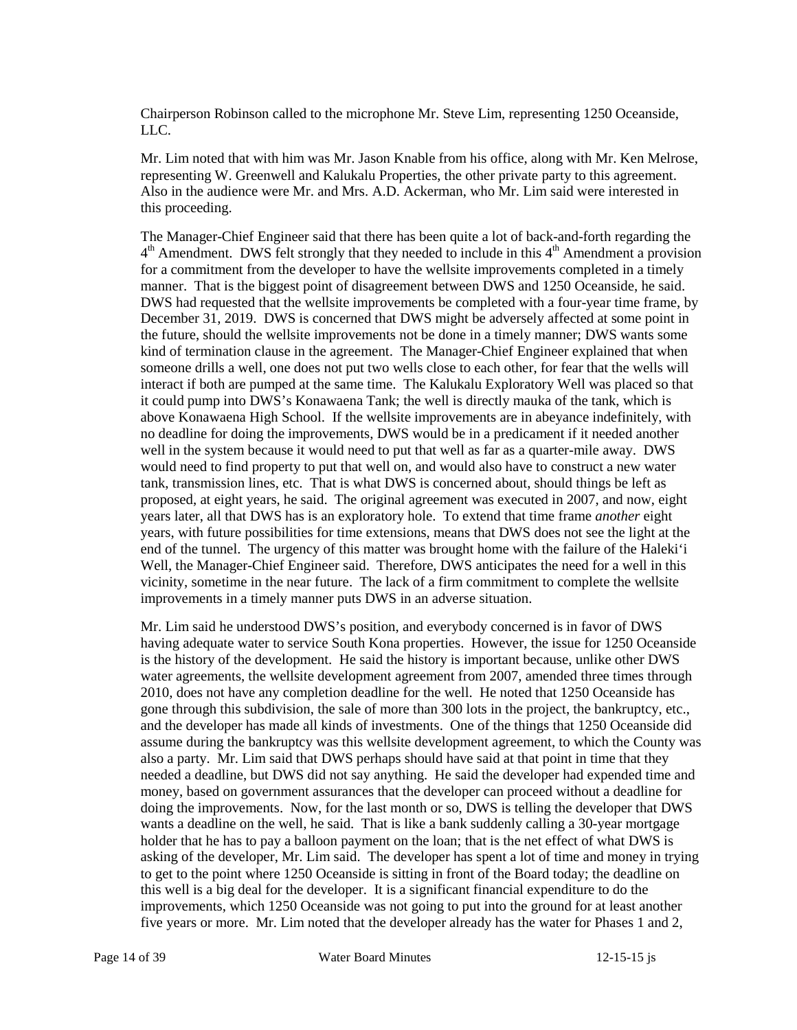Chairperson Robinson called to the microphone Mr. Steve Lim, representing 1250 Oceanside, LLC.

 representing W. Greenwell and Kalukalu Properties, the other private party to this agreement. Also in the audience were Mr. and Mrs. A.D. Ackerman, who Mr. Lim said were interested in Mr. Lim noted that with him was Mr. Jason Knable from his office, along with Mr. Ken Melrose, this proceeding.

 $4<sup>th</sup>$  Amendment. DWS felt strongly that they needed to include in this  $4<sup>th</sup>$  Amendment a provision for a commitment from the developer to have the wellsite improvements completed in a timely manner. That is the biggest point of disagreement between DWS and 1250 Oceanside, he said. the future, should the wellsite improvements not be done in a timely manner; DWS wants some kind of termination clause in the agreement. The Manager-Chief Engineer explained that when someone drills a well, one does not put two wells close to each other, for fear that the wells will interact if both are pumped at the same time. The Kalukalu Exploratory Well was placed so that would need to find property to put that well on, and would also have to construct a new water proposed, at eight years, he said. The original agreement was executed in 2007, and now, eight years later, all that DWS has is an exploratory hole. To extend that time frame *another* eight end of the tunnel. The urgency of this matter was brought home with the failure of the Haleki'i Well, the Manager-Chief Engineer said. Therefore, DWS anticipates the need for a well in this vicinity, sometime in the near future. The lack of a firm commitment to complete the wellsite The Manager-Chief Engineer said that there has been quite a lot of back-and-forth regarding the DWS had requested that the wellsite improvements be completed with a four-year time frame, by December 31, 2019. DWS is concerned that DWS might be adversely affected at some point in it could pump into DWS's Konawaena Tank; the well is directly mauka of the tank, which is above Konawaena High School. If the wellsite improvements are in abeyance indefinitely, with no deadline for doing the improvements, DWS would be in a predicament if it needed another well in the system because it would need to put that well as far as a quarter-mile away. DWS tank, transmission lines, etc. That is what DWS is concerned about, should things be left as years, with future possibilities for time extensions, means that DWS does not see the light at the improvements in a timely manner puts DWS in an adverse situation.

 Mr. Lim said he understood DWS's position, and everybody concerned is in favor of DWS having adequate water to service South Kona properties. However, the issue for 1250 Oceanside and the developer has made all kinds of investments. One of the things that 1250 Oceanside did also a party. Mr. Lim said that DWS perhaps should have said at that point in time that they money, based on government assurances that the developer can proceed without a deadline for doing the improvements. Now, for the last month or so, DWS is telling the developer that DWS holder that he has to pay a balloon payment on the loan; that is the net effect of what DWS is asking of the developer, Mr. Lim said. The developer has spent a lot of time and money in trying this well is a big deal for the developer. It is a significant financial expenditure to do the improvements, which 1250 Oceanside was not going to put into the ground for at least another five years or more. Mr. Lim noted that the developer already has the water for Phases 1 and 2, is the history of the development. He said the history is important because, unlike other DWS water agreements, the wellsite development agreement from 2007, amended three times through 2010, does not have any completion deadline for the well. He noted that 1250 Oceanside has gone through this subdivision, the sale of more than 300 lots in the project, the bankruptcy, etc., assume during the bankruptcy was this wellsite development agreement, to which the County was needed a deadline, but DWS did not say anything. He said the developer had expended time and wants a deadline on the well, he said. That is like a bank suddenly calling a 30-year mortgage to get to the point where 1250 Oceanside is sitting in front of the Board today; the deadline on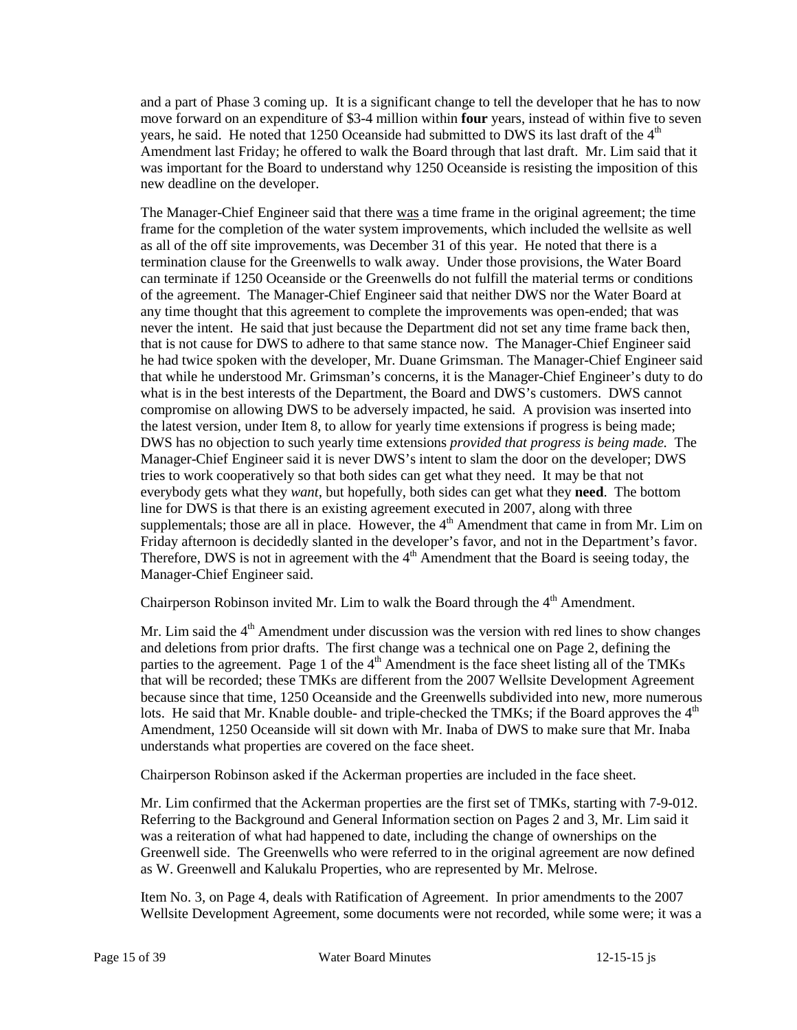and a part of Phase 3 coming up. It is a significant change to tell the developer that he has to now move forward on an expenditure of \$3-4 million within **four** years, instead of within five to seven was important for the Board to understand why 1250 Oceanside is resisting the imposition of this new deadline on the developer. years, he said. He noted that  $1250$  Oceanside had submitted to DWS its last draft of the  $4<sup>th</sup>$ Amendment last Friday; he offered to walk the Board through that last draft. Mr. Lim said that it

 as all of the off site improvements, was December 31 of this year. He noted that there is a termination clause for the Greenwells to walk away. Under those provisions, the Water Board can terminate if 1250 Oceanside or the Greenwells do not fulfill the material terms or conditions of the agreement. The Manager-Chief Engineer said that neither DWS nor the Water Board at any time thought that this agreement to complete the improvements was open-ended; that was what is in the best interests of the Department, the Board and DWS's customers. DWS cannot tries to work cooperatively so that both sides can get what they need. It may be that not Therefore, DWS is not in agreement with the  $4<sup>th</sup>$  Amendment that the Board is seeing today, the The Manager-Chief Engineer said that there was a time frame in the original agreement; the time frame for the completion of the water system improvements, which included the wellsite as well never the intent. He said that just because the Department did not set any time frame back then, that is not cause for DWS to adhere to that same stance now. The Manager-Chief Engineer said he had twice spoken with the developer, Mr. Duane Grimsman. The Manager-Chief Engineer said that while he understood Mr. Grimsman's concerns, it is the Manager-Chief Engineer's duty to do compromise on allowing DWS to be adversely impacted, he said. A provision was inserted into the latest version, under Item 8, to allow for yearly time extensions if progress is being made; DWS has no objection to such yearly time extensions *provided that progress is being made.* The Manager-Chief Engineer said it is never DWS's intent to slam the door on the developer; DWS everybody gets what they *want*, but hopefully, both sides can get what they **need**. The bottom line for DWS is that there is an existing agreement executed in 2007, along with three supplementals; those are all in place. However, the  $4<sup>th</sup>$  Amendment that came in from Mr. Lim on Friday afternoon is decidedly slanted in the developer's favor, and not in the Department's favor. Manager-Chief Engineer said.

Chairperson Robinson invited Mr. Lim to walk the Board through the  $4<sup>th</sup>$  Amendment.

Mr. Lim said the  $4<sup>th</sup>$  Amendment under discussion was the version with red lines to show changes and deletions from prior drafts. The first change was a technical one on Page 2, defining the parties to the agreement. Page 1 of the  $4<sup>th</sup>$  Amendment is the face sheet listing all of the TMKs that will be recorded; these TMKs are different from the 2007 Wellsite Development Agreement because since that time, 1250 Oceanside and the Greenwells subdivided into new, more numerous lots. He said that Mr. Knable double- and triple-checked the TMKs; if the Board approves the  $4<sup>th</sup>$ Amendment, 1250 Oceanside will sit down with Mr. Inaba of DWS to make sure that Mr. Inaba understands what properties are covered on the face sheet.

Chairperson Robinson asked if the Ackerman properties are included in the face sheet.

 Greenwell side. The Greenwells who were referred to in the original agreement are now defined Mr. Lim confirmed that the Ackerman properties are the first set of TMKs, starting with 7-9-012. Referring to the Background and General Information section on Pages 2 and 3, Mr. Lim said it was a reiteration of what had happened to date, including the change of ownerships on the as W. Greenwell and Kalukalu Properties, who are represented by Mr. Melrose.

Item No. 3, on Page 4, deals with Ratification of Agreement. In prior amendments to the 2007 Wellsite Development Agreement, some documents were not recorded, while some were; it was a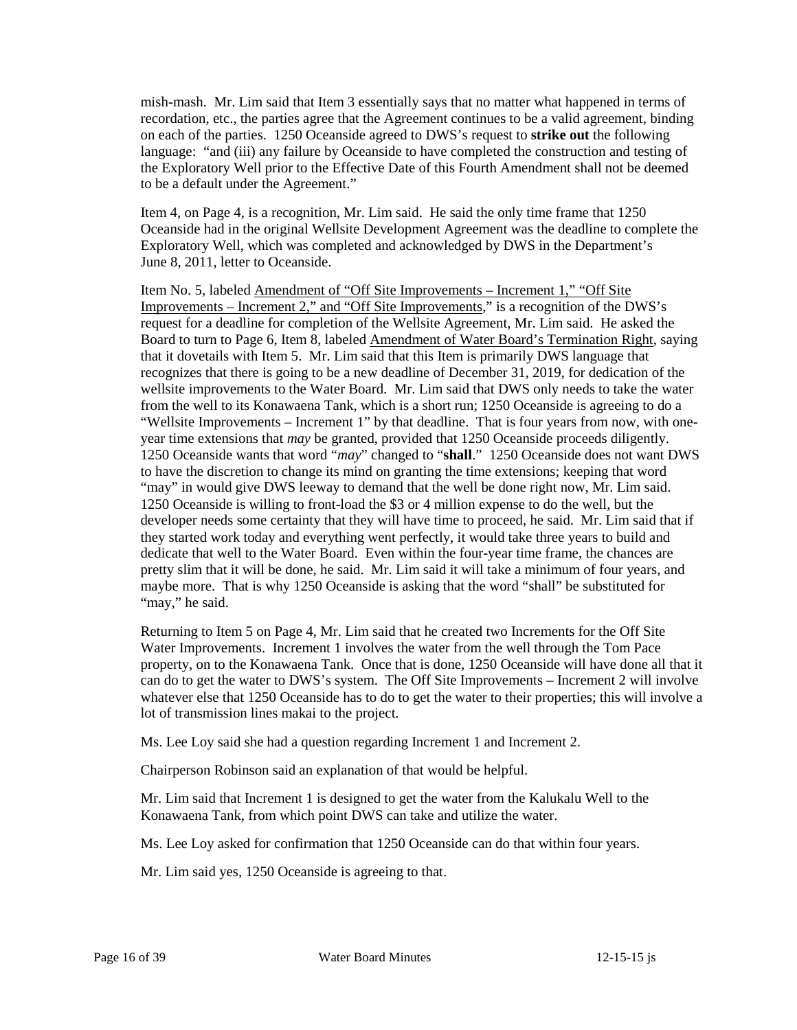mish-mash. Mr. Lim said that Item 3 essentially says that no matter what happened in terms of the Exploratory Well prior to the Effective Date of this Fourth Amendment shall not be deemed recordation, etc., the parties agree that the Agreement continues to be a valid agreement, binding on each of the parties. 1250 Oceanside agreed to DWS's request to **strike out** the following language: "and (iii) any failure by Oceanside to have completed the construction and testing of to be a default under the Agreement."

Item 4, on Page 4, is a recognition, Mr. Lim said. He said the only time frame that 1250 Oceanside had in the original Wellsite Development Agreement was the deadline to complete the Exploratory Well, which was completed and acknowledged by DWS in the Department's June 8, 2011, letter to Oceanside.

 that it dovetails with Item 5. Mr. Lim said that this Item is primarily DWS language that recognizes that there is going to be a new deadline of December 31, 2019, for dedication of the from the well to its Konawaena Tank, which is a short run; 1250 Oceanside is agreeing to do a developer needs some certainty that they will have time to proceed, he said. Mr. Lim said that if maybe more. That is why 1250 Oceanside is asking that the word "shall" be substituted for Item No. 5, labeled Amendment of "Off Site Improvements – Increment 1," "Off Site Improvements – Increment 2," and "Off Site Improvements," is a recognition of the DWS's request for a deadline for completion of the Wellsite Agreement, Mr. Lim said. He asked the Board to turn to Page 6, Item 8, labeled Amendment of Water Board's Termination Right, saying wellsite improvements to the Water Board. Mr. Lim said that DWS only needs to take the water "Wellsite Improvements – Increment 1" by that deadline. That is four years from now, with oneyear time extensions that *may* be granted, provided that 1250 Oceanside proceeds diligently. 1250 Oceanside wants that word "*may*" changed to "**shall**." 1250 Oceanside does not want DWS to have the discretion to change its mind on granting the time extensions; keeping that word "may" in would give DWS leeway to demand that the well be done right now, Mr. Lim said. 1250 Oceanside is willing to front-load the \$3 or 4 million expense to do the well, but the they started work today and everything went perfectly, it would take three years to build and dedicate that well to the Water Board. Even within the four-year time frame, the chances are pretty slim that it will be done, he said. Mr. Lim said it will take a minimum of four years, and "may," he said.

 Water Improvements. Increment 1 involves the water from the well through the Tom Pace property, on to the Konawaena Tank. Once that is done, 1250 Oceanside will have done all that it whatever else that 1250 Oceanside has to do to get the water to their properties; this will involve a Returning to Item 5 on Page 4, Mr. Lim said that he created two Increments for the Off Site can do to get the water to DWS's system. The Off Site Improvements – Increment 2 will involve lot of transmission lines makai to the project.

Ms. Lee Loy said she had a question regarding Increment 1 and Increment 2.

Chairperson Robinson said an explanation of that would be helpful.

 Mr. Lim said that Increment 1 is designed to get the water from the Kalukalu Well to the Konawaena Tank, from which point DWS can take and utilize the water.

Ms. Lee Loy asked for confirmation that 1250 Oceanside can do that within four years.

Mr. Lim said yes, 1250 Oceanside is agreeing to that.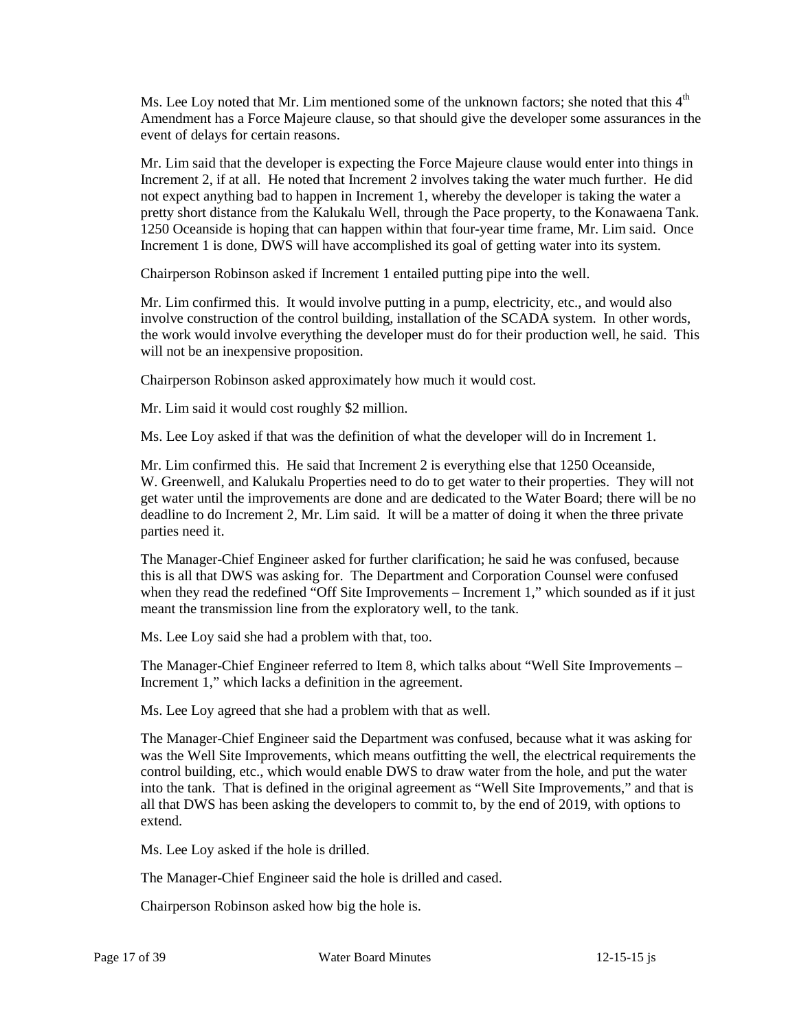Ms. Lee Loy noted that Mr. Lim mentioned some of the unknown factors; she noted that this  $4<sup>th</sup>$  Amendment has a Force Majeure clause, so that should give the developer some assurances in the event of delays for certain reasons.

 Increment 1 is done, DWS will have accomplished its goal of getting water into its system. Mr. Lim said that the developer is expecting the Force Majeure clause would enter into things in Increment 2, if at all. He noted that Increment 2 involves taking the water much further. He did not expect anything bad to happen in Increment 1, whereby the developer is taking the water a pretty short distance from the Kalukalu Well, through the Pace property, to the Konawaena Tank. 1250 Oceanside is hoping that can happen within that four-year time frame, Mr. Lim said. Once

Chairperson Robinson asked if Increment 1 entailed putting pipe into the well.

 involve construction of the control building, installation of the SCADA system. In other words, will not be an inexpensive proposition. Mr. Lim confirmed this. It would involve putting in a pump, electricity, etc., and would also the work would involve everything the developer must do for their production well, he said. This

Chairperson Robinson asked approximately how much it would cost.

Mr. Lim said it would cost roughly \$2 million.

Ms. Lee Loy asked if that was the definition of what the developer will do in Increment 1.

 get water until the improvements are done and are dedicated to the Water Board; there will be no deadline to do Increment 2, Mr. Lim said. It will be a matter of doing it when the three private Mr. Lim confirmed this. He said that Increment 2 is everything else that 1250 Oceanside, W. Greenwell, and Kalukalu Properties need to do to get water to their properties. They will not parties need it.

 The Manager-Chief Engineer asked for further clarification; he said he was confused, because when they read the redefined "Off Site Improvements – Increment 1," which sounded as if it just this is all that DWS was asking for. The Department and Corporation Counsel were confused meant the transmission line from the exploratory well, to the tank.

Ms. Lee Loy said she had a problem with that, too.

The Manager-Chief Engineer referred to Item 8, which talks about "Well Site Improvements – Increment 1," which lacks a definition in the agreement.

Ms. Lee Loy agreed that she had a problem with that as well.

 The Manager-Chief Engineer said the Department was confused, because what it was asking for control building, etc., which would enable DWS to draw water from the hole, and put the water into the tank. That is defined in the original agreement as "Well Site Improvements," and that is all that DWS has been asking the developers to commit to, by the end of 2019, with options to was the Well Site Improvements, which means outfitting the well, the electrical requirements the extend.

Ms. Lee Loy asked if the hole is drilled.

The Manager-Chief Engineer said the hole is drilled and cased.

Chairperson Robinson asked how big the hole is.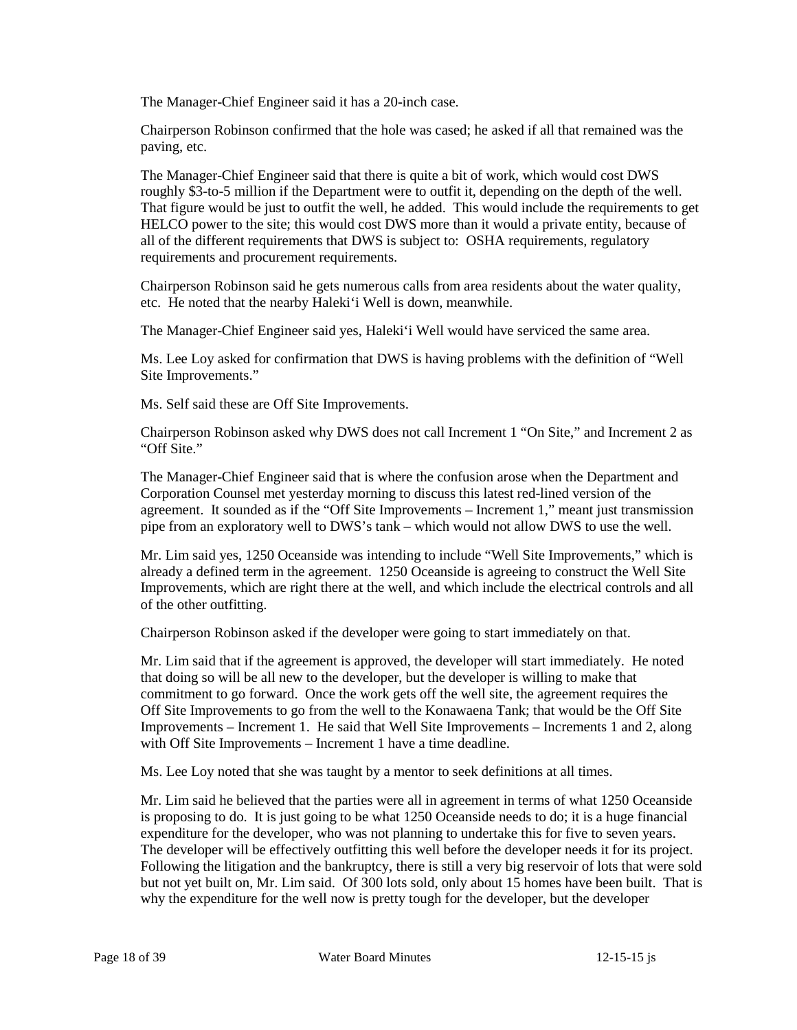The Manager-Chief Engineer said it has a 20-inch case.

 Chairperson Robinson confirmed that the hole was cased; he asked if all that remained was the paving, etc.

 The Manager-Chief Engineer said that there is quite a bit of work, which would cost DWS That figure would be just to outfit the well, he added. This would include the requirements to get all of the different requirements that DWS is subject to: OSHA requirements, regulatory roughly \$3-to-5 million if the Department were to outfit it, depending on the depth of the well. HELCO power to the site; this would cost DWS more than it would a private entity, because of requirements and procurement requirements.

 Chairperson Robinson said he gets numerous calls from area residents about the water quality, etc. He noted that the nearby Haleki'i Well is down, meanwhile.

The Manager-Chief Engineer said yes, Haleki'i Well would have serviced the same area.

 Ms. Lee Loy asked for confirmation that DWS is having problems with the definition of "Well Site Improvements."

Ms. Self said these are Off Site Improvements.

 Chairperson Robinson asked why DWS does not call Increment 1 "On Site," and Increment 2 as "Off Site."

 agreement. It sounded as if the "Off Site Improvements – Increment 1," meant just transmission pipe from an exploratory well to DWS's tank – which would not allow DWS to use the well. The Manager-Chief Engineer said that is where the confusion arose when the Department and Corporation Counsel met yesterday morning to discuss this latest red-lined version of the

Mr. Lim said yes, 1250 Oceanside was intending to include "Well Site Improvements," which is already a defined term in the agreement. 1250 Oceanside is agreeing to construct the Well Site Improvements, which are right there at the well, and which include the electrical controls and all of the other outfitting.

Chairperson Robinson asked if the developer were going to start immediately on that.

 that doing so will be all new to the developer, but the developer is willing to make that commitment to go forward. Once the work gets off the well site, the agreement requires the Off Site Improvements to go from the well to the Konawaena Tank; that would be the Off Site Mr. Lim said that if the agreement is approved, the developer will start immediately. He noted Improvements – Increment 1. He said that Well Site Improvements – Increments 1 and 2, along with Off Site Improvements – Increment 1 have a time deadline.

Ms. Lee Loy noted that she was taught by a mentor to seek definitions at all times.

 is proposing to do. It is just going to be what 1250 Oceanside needs to do; it is a huge financial The developer will be effectively outfitting this well before the developer needs it for its project. but not yet built on, Mr. Lim said. Of 300 lots sold, only about 15 homes have been built. That is why the expenditure for the well now is pretty tough for the developer, but the developer Mr. Lim said he believed that the parties were all in agreement in terms of what 1250 Oceanside expenditure for the developer, who was not planning to undertake this for five to seven years. Following the litigation and the bankruptcy, there is still a very big reservoir of lots that were sold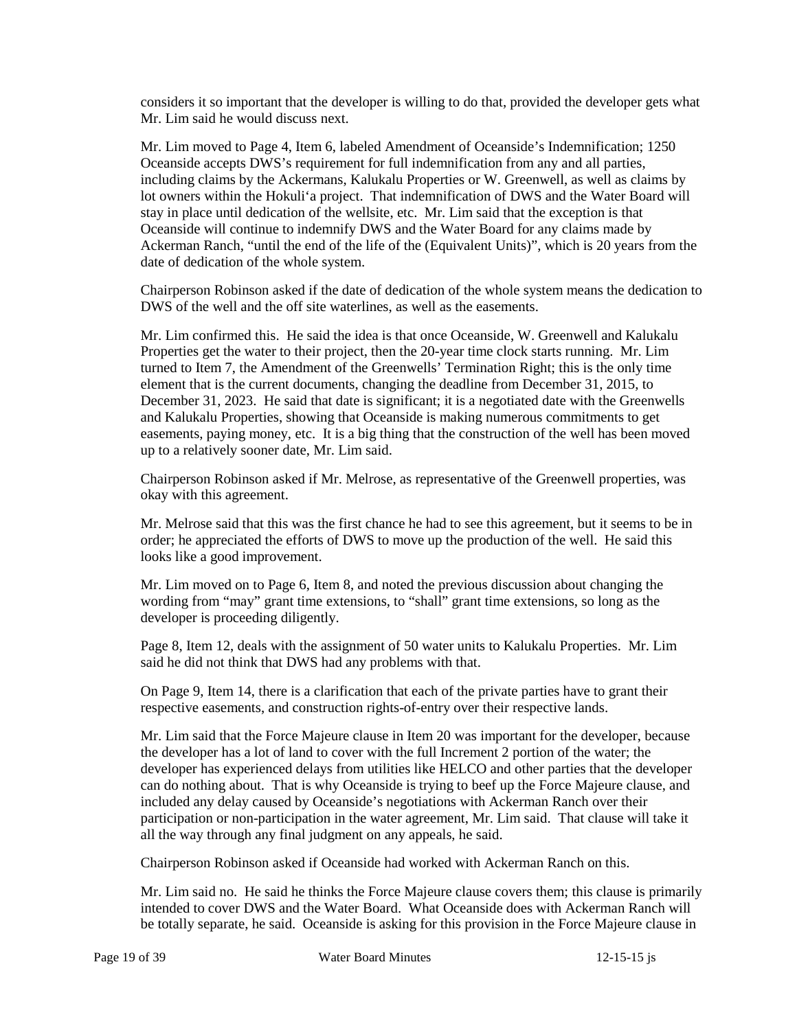considers it so important that the developer is willing to do that, provided the developer gets what Mr. Lim said he would discuss next.

 lot owners within the Hokuli'a project. That indemnification of DWS and the Water Board will stay in place until dedication of the wellsite, etc. Mr. Lim said that the exception is that Mr. Lim moved to Page 4, Item 6, labeled Amendment of Oceanside's Indemnification; 1250 Oceanside accepts DWS's requirement for full indemnification from any and all parties, including claims by the Ackermans, Kalukalu Properties or W. Greenwell, as well as claims by Oceanside will continue to indemnify DWS and the Water Board for any claims made by Ackerman Ranch, "until the end of the life of the (Equivalent Units)", which is 20 years from the date of dedication of the whole system.

 DWS of the well and the off site waterlines, as well as the easements. Chairperson Robinson asked if the date of dedication of the whole system means the dedication to

 Properties get the water to their project, then the 20-year time clock starts running. Mr. Lim turned to Item 7, the Amendment of the Greenwells' Termination Right; this is the only time December 31, 2023. He said that date is significant; it is a negotiated date with the Greenwells easements, paying money, etc. It is a big thing that the construction of the well has been moved Mr. Lim confirmed this. He said the idea is that once Oceanside, W. Greenwell and Kalukalu element that is the current documents, changing the deadline from December 31, 2015, to and Kalukalu Properties, showing that Oceanside is making numerous commitments to get up to a relatively sooner date, Mr. Lim said.

 Chairperson Robinson asked if Mr. Melrose, as representative of the Greenwell properties, was okay with this agreement.

Mr. Melrose said that this was the first chance he had to see this agreement, but it seems to be in order; he appreciated the efforts of DWS to move up the production of the well. He said this looks like a good improvement.

Mr. Lim moved on to Page 6, Item 8, and noted the previous discussion about changing the wording from "may" grant time extensions, to "shall" grant time extensions, so long as the developer is proceeding diligently.

Page 8, Item 12, deals with the assignment of 50 water units to Kalukalu Properties. Mr. Lim said he did not think that DWS had any problems with that.

 On Page 9, Item 14, there is a clarification that each of the private parties have to grant their respective easements, and construction rights-of-entry over their respective lands.

 Mr. Lim said that the Force Majeure clause in Item 20 was important for the developer, because the developer has a lot of land to cover with the full Increment 2 portion of the water; the can do nothing about. That is why Oceanside is trying to beef up the Force Majeure clause, and participation or non-participation in the water agreement, Mr. Lim said. That clause will take it developer has experienced delays from utilities like HELCO and other parties that the developer included any delay caused by Oceanside's negotiations with Ackerman Ranch over their all the way through any final judgment on any appeals, he said.

Chairperson Robinson asked if Oceanside had worked with Ackerman Ranch on this.

 intended to cover DWS and the Water Board. What Oceanside does with Ackerman Ranch will Mr. Lim said no. He said he thinks the Force Majeure clause covers them; this clause is primarily be totally separate, he said. Oceanside is asking for this provision in the Force Majeure clause in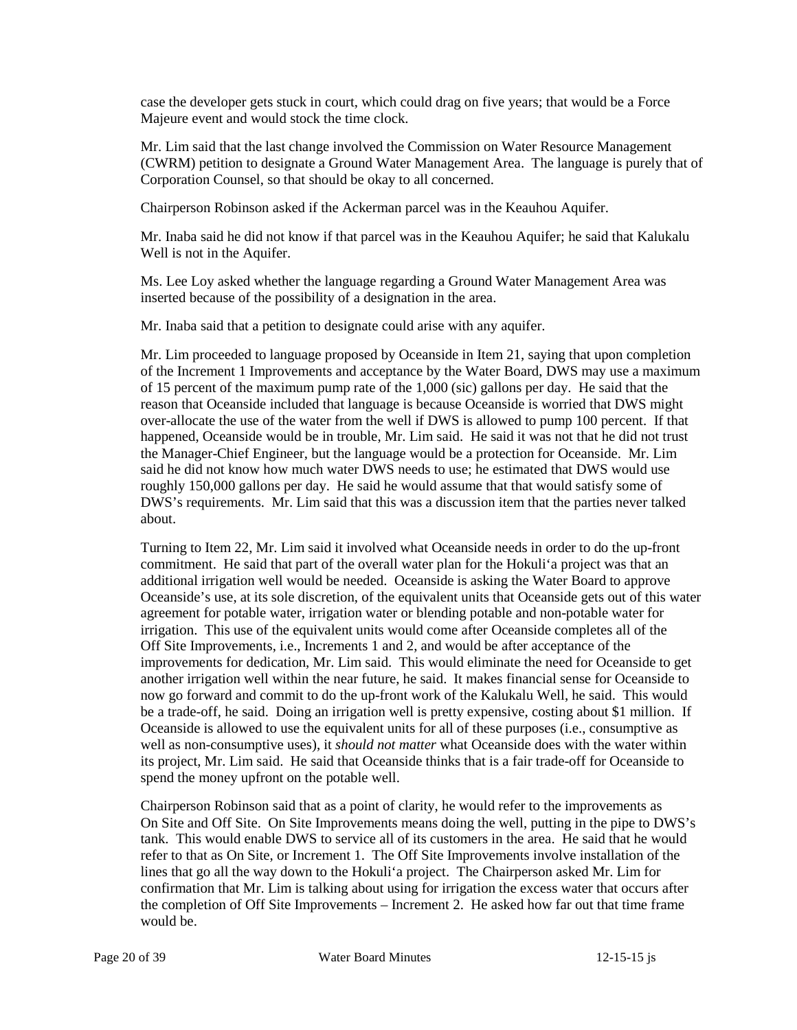case the developer gets stuck in court, which could drag on five years; that would be a Force Majeure event and would stock the time clock.

Majeure event and would stock the time clock.<br>Mr. Lim said that the last change involved the Commission on Water Resource Management (CWRM) petition to designate a Ground Water Management Area. The language is purely that of Corporation Counsel, so that should be okay to all concerned.

Chairperson Robinson asked if the Ackerman parcel was in the Keauhou Aquifer.

Mr. Inaba said he did not know if that parcel was in the Keauhou Aquifer; he said that Kalukalu Well is not in the Aquifer.

 Ms. Lee Loy asked whether the language regarding a Ground Water Management Area was inserted because of the possibility of a designation in the area.

Mr. Inaba said that a petition to designate could arise with any aquifer.

 of 15 percent of the maximum pump rate of the 1,000 (sic) gallons per day. He said that the reason that Oceanside included that language is because Oceanside is worried that DWS might over-allocate the use of the water from the well if DWS is allowed to pump 100 percent. If that Mr. Lim proceeded to language proposed by Oceanside in Item 21, saying that upon completion of the Increment 1 Improvements and acceptance by the Water Board, DWS may use a maximum happened, Oceanside would be in trouble, Mr. Lim said. He said it was not that he did not trust the Manager-Chief Engineer, but the language would be a protection for Oceanside. Mr. Lim said he did not know how much water DWS needs to use; he estimated that DWS would use roughly 150,000 gallons per day. He said he would assume that that would satisfy some of DWS's requirements. Mr. Lim said that this was a discussion item that the parties never talked about.

 commitment. He said that part of the overall water plan for the Hokuli'a project was that an Oceanside's use, at its sole discretion, of the equivalent units that Oceanside gets out of this water agreement for potable water, irrigation water or blending potable and non-potable water for irrigation. This use of the equivalent units would come after Oceanside completes all of the improvements for dedication, Mr. Lim said. This would eliminate the need for Oceanside to get another irrigation well within the near future, he said. It makes financial sense for Oceanside to Oceanside is allowed to use the equivalent units for all of these purposes (i.e., consumptive as well as non-consumptive uses), it *should not matter* what Oceanside does with the water within its project, Mr. Lim said. He said that Oceanside thinks that is a fair trade-off for Oceanside to Turning to Item 22, Mr. Lim said it involved what Oceanside needs in order to do the up-front additional irrigation well would be needed. Oceanside is asking the Water Board to approve Off Site Improvements, i.e., Increments 1 and 2, and would be after acceptance of the now go forward and commit to do the up-front work of the Kalukalu Well, he said. This would be a trade-off, he said. Doing an irrigation well is pretty expensive, costing about \$1 million. If spend the money upfront on the potable well.

 Chairperson Robinson said that as a point of clarity, he would refer to the improvements as On Site and Off Site. On Site Improvements means doing the well, putting in the pipe to DWS's tank. This would enable DWS to service all of its customers in the area. He said that he would refer to that as On Site, or Increment 1. The Off Site Improvements involve installation of the the completion of Off Site Improvements – Increment 2. He asked how far out that time frame lines that go all the way down to the Hokuli'a project. The Chairperson asked Mr. Lim for confirmation that Mr. Lim is talking about using for irrigation the excess water that occurs after would be.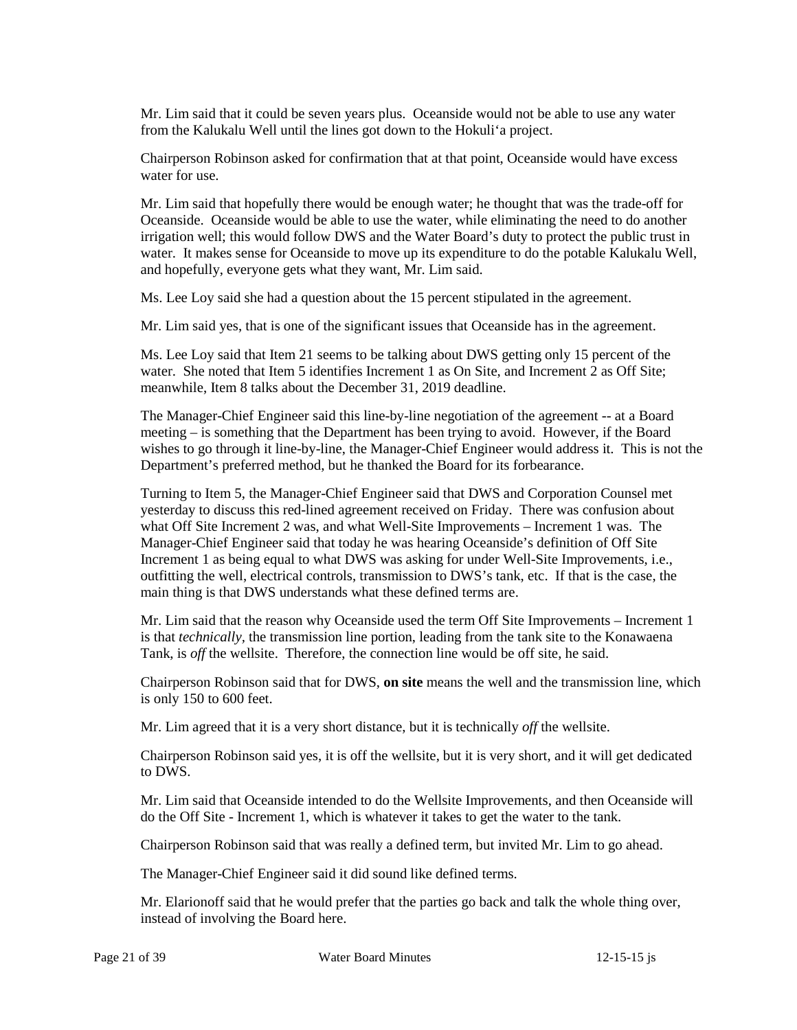Mr. Lim said that it could be seven years plus. Oceanside would not be able to use any water from the Kalukalu Well until the lines got down to the Hokuli'a project.

Chairperson Robinson asked for confirmation that at that point, Oceanside would have excess water for use.

 Mr. Lim said that hopefully there would be enough water; he thought that was the trade-off for irrigation well; this would follow DWS and the Water Board's duty to protect the public trust in water. It makes sense for Oceanside to move up its expenditure to do the potable Kalukalu Well, Oceanside. Oceanside would be able to use the water, while eliminating the need to do another and hopefully, everyone gets what they want, Mr. Lim said.

Ms. Lee Loy said she had a question about the 15 percent stipulated in the agreement.

Mr. Lim said yes, that is one of the significant issues that Oceanside has in the agreement.

 Ms. Lee Loy said that Item 21 seems to be talking about DWS getting only 15 percent of the water. She noted that Item 5 identifies Increment 1 as On Site, and Increment 2 as Off Site; meanwhile, Item 8 talks about the December 31, 2019 deadline.

 wishes to go through it line-by-line, the Manager-Chief Engineer would address it. This is not the The Manager-Chief Engineer said this line-by-line negotiation of the agreement -- at a Board meeting – is something that the Department has been trying to avoid. However, if the Board Department's preferred method, but he thanked the Board for its forbearance.

 what Off Site Increment 2 was, and what Well-Site Improvements – Increment 1 was. The Manager-Chief Engineer said that today he was hearing Oceanside's definition of Off Site outfitting the well, electrical controls, transmission to DWS's tank, etc. If that is the case, the Turning to Item 5, the Manager-Chief Engineer said that DWS and Corporation Counsel met yesterday to discuss this red-lined agreement received on Friday. There was confusion about Increment 1 as being equal to what DWS was asking for under Well-Site Improvements, i.e., main thing is that DWS understands what these defined terms are.

 is that *technically,* the transmission line portion, leading from the tank site to the Konawaena Tank, is *off* the wellsite. Therefore, the connection line would be off site, he said. Mr. Lim said that the reason why Oceanside used the term Off Site Improvements – Increment 1

Chairperson Robinson said that for DWS, **on site** means the well and the transmission line, which is only 150 to 600 feet.

Mr. Lim agreed that it is a very short distance, but it is technically *off* the wellsite.

 Chairperson Robinson said yes, it is off the wellsite, but it is very short, and it will get dedicated to DWS.

 do the Off Site - Increment 1, which is whatever it takes to get the water to the tank. Mr. Lim said that Oceanside intended to do the Wellsite Improvements, and then Oceanside will

Chairperson Robinson said that was really a defined term, but invited Mr. Lim to go ahead.

The Manager-Chief Engineer said it did sound like defined terms.

 Mr. Elarionoff said that he would prefer that the parties go back and talk the whole thing over, instead of involving the Board here.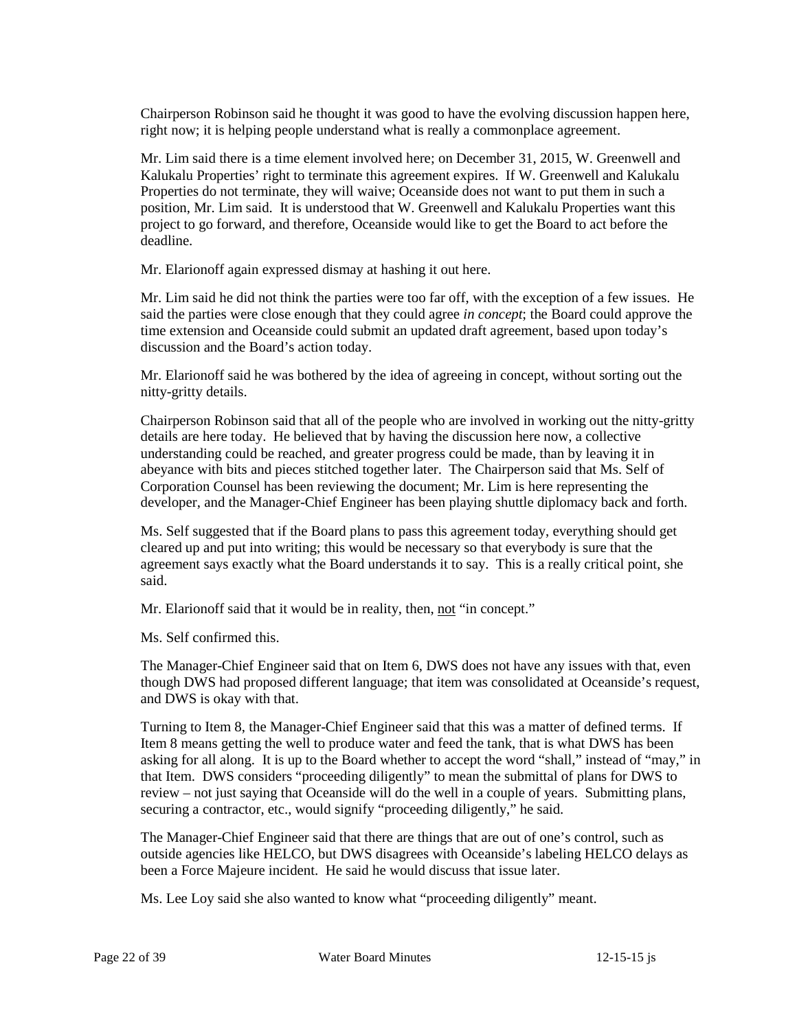Chairperson Robinson said he thought it was good to have the evolving discussion happen here, right now; it is helping people understand what is really a commonplace agreement.

 project to go forward, and therefore, Oceanside would like to get the Board to act before the Mr. Lim said there is a time element involved here; on December 31, 2015, W. Greenwell and Kalukalu Properties' right to terminate this agreement expires. If W. Greenwell and Kalukalu Properties do not terminate, they will waive; Oceanside does not want to put them in such a position, Mr. Lim said. It is understood that W. Greenwell and Kalukalu Properties want this deadline.

Mr. Elarionoff again expressed dismay at hashing it out here.

 Mr. Lim said he did not think the parties were too far off, with the exception of a few issues. He said the parties were close enough that they could agree *in concept*; the Board could approve the time extension and Oceanside could submit an updated draft agreement, based upon today's discussion and the Board's action today.

 Mr. Elarionoff said he was bothered by the idea of agreeing in concept, without sorting out the nitty-gritty details.

 understanding could be reached, and greater progress could be made, than by leaving it in Chairperson Robinson said that all of the people who are involved in working out the nitty-gritty details are here today. He believed that by having the discussion here now, a collective abeyance with bits and pieces stitched together later. The Chairperson said that Ms. Self of Corporation Counsel has been reviewing the document; Mr. Lim is here representing the developer, and the Manager-Chief Engineer has been playing shuttle diplomacy back and forth.

 cleared up and put into writing; this would be necessary so that everybody is sure that the agreement says exactly what the Board understands it to say. This is a really critical point, she Ms. Self suggested that if the Board plans to pass this agreement today, everything should get said.

Mr. Elarionoff said that it would be in reality, then, not "in concept."

Ms. Self confirmed this.

The Manager-Chief Engineer said that on Item 6, DWS does not have any issues with that, even though DWS had proposed different language; that item was consolidated at Oceanside's request, and DWS is okay with that.

 Turning to Item 8, the Manager-Chief Engineer said that this was a matter of defined terms. If review – not just saying that Oceanside will do the well in a couple of years. Submitting plans, Item 8 means getting the well to produce water and feed the tank, that is what DWS has been asking for all along. It is up to the Board whether to accept the word "shall," instead of "may," in that Item. DWS considers "proceeding diligently" to mean the submittal of plans for DWS to securing a contractor, etc., would signify "proceeding diligently," he said.

The Manager-Chief Engineer said that there are things that are out of one's control, such as outside agencies like HELCO, but DWS disagrees with Oceanside's labeling HELCO delays as been a Force Majeure incident. He said he would discuss that issue later.

Ms. Lee Loy said she also wanted to know what "proceeding diligently" meant.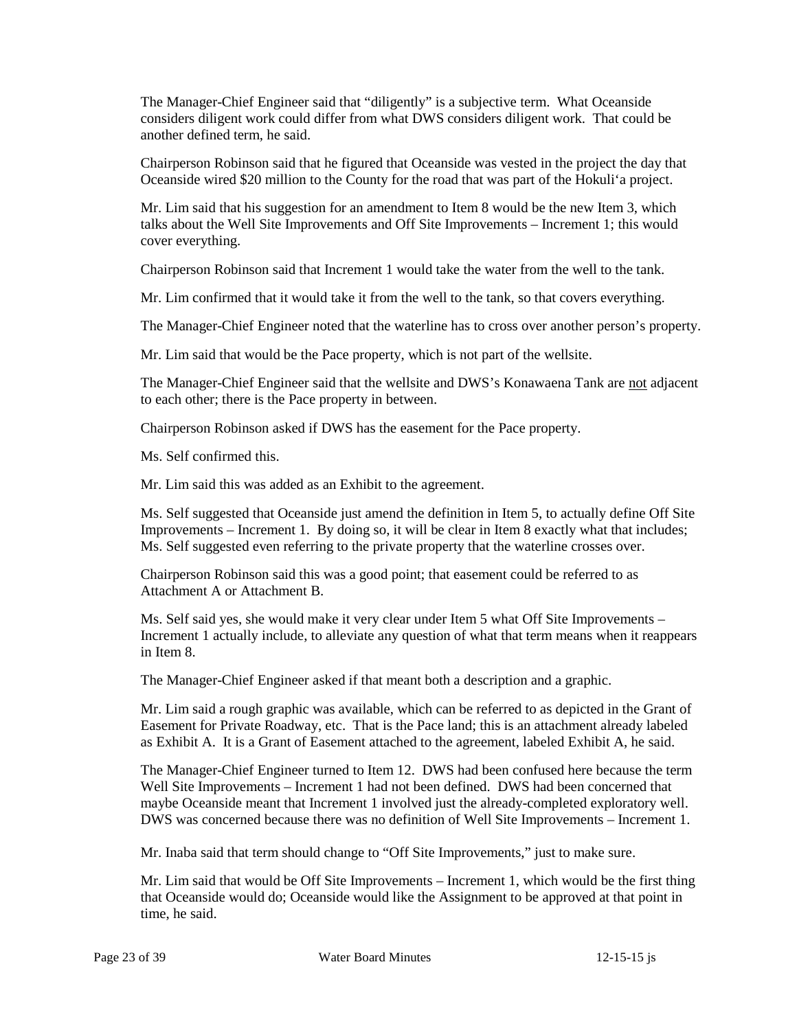The Manager-Chief Engineer said that "diligently" is a subjective term. What Oceanside considers diligent work could differ from what DWS considers diligent work. That could be another defined term, he said.

 Oceanside wired \$20 million to the County for the road that was part of the Hokuli'a project. Chairperson Robinson said that he figured that Oceanside was vested in the project the day that

 Mr. Lim said that his suggestion for an amendment to Item 8 would be the new Item 3, which talks about the Well Site Improvements and Off Site Improvements – Increment 1; this would cover everything.

Chairperson Robinson said that Increment 1 would take the water from the well to the tank.

Mr. Lim confirmed that it would take it from the well to the tank, so that covers everything.

The Manager-Chief Engineer noted that the waterline has to cross over another person's property.

Mr. Lim said that would be the Pace property, which is not part of the wellsite.

 to each other; there is the Pace property in between. The Manager-Chief Engineer said that the wellsite and DWS's Konawaena Tank are not adjacent

Chairperson Robinson asked if DWS has the easement for the Pace property.

Ms. Self confirmed this.

Mr. Lim said this was added as an Exhibit to the agreement.

 Improvements – Increment 1. By doing so, it will be clear in Item 8 exactly what that includes; Ms. Self suggested that Oceanside just amend the definition in Item 5, to actually define Off Site Ms. Self suggested even referring to the private property that the waterline crosses over.

Chairperson Robinson said this was a good point; that easement could be referred to as Attachment A or Attachment B.

Ms. Self said yes, she would make it very clear under Item 5 what Off Site Improvements – Increment 1 actually include, to alleviate any question of what that term means when it reappears in Item 8.

The Manager-Chief Engineer asked if that meant both a description and a graphic.

 Easement for Private Roadway, etc. That is the Pace land; this is an attachment already labeled Mr. Lim said a rough graphic was available, which can be referred to as depicted in the Grant of as Exhibit A. It is a Grant of Easement attached to the agreement, labeled Exhibit A, he said.

The Manager-Chief Engineer turned to Item 12. DWS had been confused here because the term Well Site Improvements – Increment 1 had not been defined. DWS had been concerned that maybe Oceanside meant that Increment 1 involved just the already-completed exploratory well. DWS was concerned because there was no definition of Well Site Improvements – Increment 1.

Mr. Inaba said that term should change to "Off Site Improvements," just to make sure.

 Mr. Lim said that would be Off Site Improvements – Increment 1, which would be the first thing that Oceanside would do; Oceanside would like the Assignment to be approved at that point in time, he said.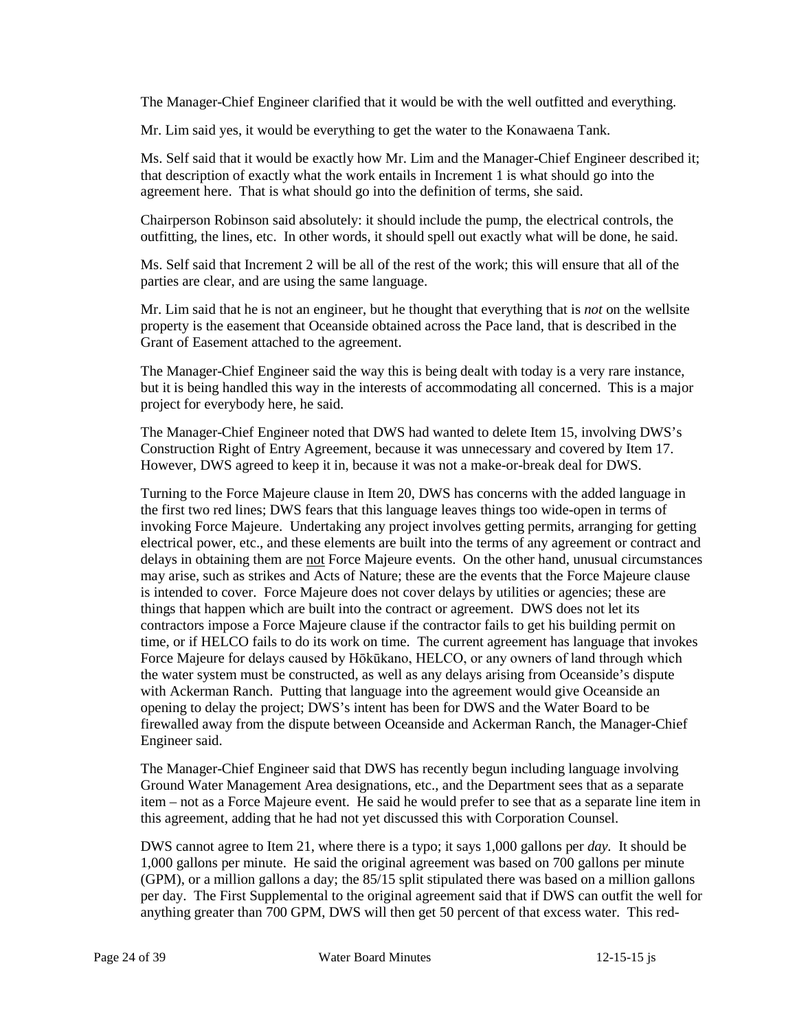The Manager-Chief Engineer clarified that it would be with the well outfitted and everything.

Mr. Lim said yes, it would be everything to get the water to the Konawaena Tank.

 Ms. Self said that it would be exactly how Mr. Lim and the Manager-Chief Engineer described it; agreement here. That is what should go into the definition of terms, she said. that description of exactly what the work entails in Increment 1 is what should go into the

 outfitting, the lines, etc. In other words, it should spell out exactly what will be done, he said. Chairperson Robinson said absolutely: it should include the pump, the electrical controls, the

 Ms. Self said that Increment 2 will be all of the rest of the work; this will ensure that all of the parties are clear, and are using the same language.

 Mr. Lim said that he is not an engineer, but he thought that everything that is *not* on the wellsite property is the easement that Oceanside obtained across the Pace land, that is described in the Grant of Easement attached to the agreement.

 but it is being handled this way in the interests of accommodating all concerned. This is a major The Manager-Chief Engineer said the way this is being dealt with today is a very rare instance, project for everybody here, he said.

 Construction Right of Entry Agreement, because it was unnecessary and covered by Item 17. However, DWS agreed to keep it in, because it was not a make-or-break deal for DWS. The Manager-Chief Engineer noted that DWS had wanted to delete Item 15, involving DWS's

 the first two red lines; DWS fears that this language leaves things too wide-open in terms of electrical power, etc., and these elements are built into the terms of any agreement or contract and may arise, such as strikes and Acts of Nature; these are the events that the Force Majeure clause time, or if HELCO fails to do its work on time. The current agreement has language that invokes the water system must be constructed, as well as any delays arising from Oceanside's dispute Turning to the Force Majeure clause in Item 20, DWS has concerns with the added language in invoking Force Majeure. Undertaking any project involves getting permits, arranging for getting delays in obtaining them are not Force Majeure events. On the other hand, unusual circumstances is intended to cover. Force Majeure does not cover delays by utilities or agencies; these are things that happen which are built into the contract or agreement. DWS does not let its contractors impose a Force Majeure clause if the contractor fails to get his building permit on Force Majeure for delays caused by Hōkūkano, HELCO, or any owners of land through which with Ackerman Ranch. Putting that language into the agreement would give Oceanside an opening to delay the project; DWS's intent has been for DWS and the Water Board to be firewalled away from the dispute between Oceanside and Ackerman Ranch, the Manager-Chief Engineer said.

 item – not as a Force Majeure event. He said he would prefer to see that as a separate line item in The Manager-Chief Engineer said that DWS has recently begun including language involving Ground Water Management Area designations, etc., and the Department sees that as a separate this agreement, adding that he had not yet discussed this with Corporation Counsel.

 DWS cannot agree to Item 21, where there is a typo; it says 1,000 gallons per *day.* It should be per day. The First Supplemental to the original agreement said that if DWS can outfit the well for 1,000 gallons per minute. He said the original agreement was based on 700 gallons per minute (GPM), or a million gallons a day; the 85/15 split stipulated there was based on a million gallons anything greater than 700 GPM, DWS will then get 50 percent of that excess water. This red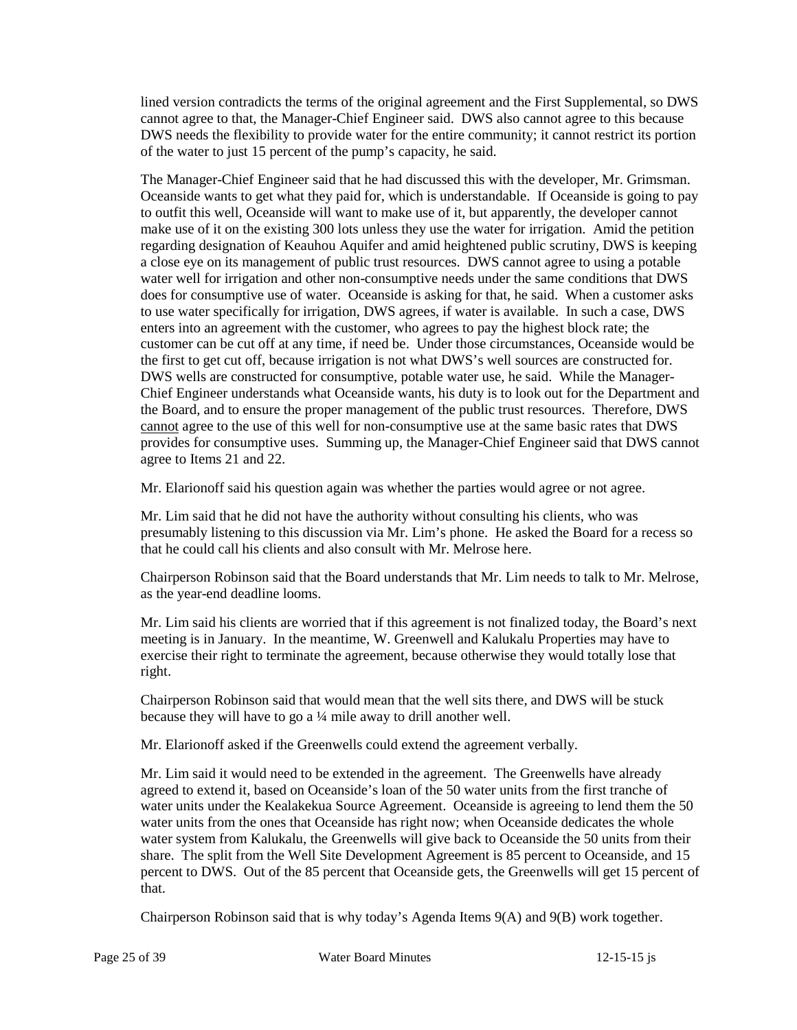lined version contradicts the terms of the original agreement and the First Supplemental, so DWS cannot agree to that, the Manager-Chief Engineer said. DWS also cannot agree to this because DWS needs the flexibility to provide water for the entire community; it cannot restrict its portion of the water to just 15 percent of the pump's capacity, he said.

 a close eye on its management of public trust resources. DWS cannot agree to using a potable does for consumptive use of water. Oceanside is asking for that, he said. When a customer asks to use water specifically for irrigation, DWS agrees, if water is available. In such a case, DWS the first to get cut off, because irrigation is not what DWS's well sources are constructed for. Chief Engineer understands what Oceanside wants, his duty is to look out for the Department and the Board, and to ensure the proper management of the public trust resources. Therefore, DWS provides for consumptive uses. Summing up, the Manager-Chief Engineer said that DWS cannot The Manager-Chief Engineer said that he had discussed this with the developer, Mr. Grimsman. Oceanside wants to get what they paid for, which is understandable. If Oceanside is going to pay to outfit this well, Oceanside will want to make use of it, but apparently, the developer cannot make use of it on the existing 300 lots unless they use the water for irrigation. Amid the petition regarding designation of Keauhou Aquifer and amid heightened public scrutiny, DWS is keeping water well for irrigation and other non-consumptive needs under the same conditions that DWS enters into an agreement with the customer, who agrees to pay the highest block rate; the customer can be cut off at any time, if need be. Under those circumstances, Oceanside would be DWS wells are constructed for consumptive, potable water use, he said. While the Managercannot agree to the use of this well for non-consumptive use at the same basic rates that DWS agree to Items 21 and 22.

Mr. Elarionoff said his question again was whether the parties would agree or not agree.

Mr. Lim said that he did not have the authority without consulting his clients, who was presumably listening to this discussion via Mr. Lim's phone. He asked the Board for a recess so that he could call his clients and also consult with Mr. Melrose here.

Chairperson Robinson said that the Board understands that Mr. Lim needs to talk to Mr. Melrose, as the year-end deadline looms.

 meeting is in January. In the meantime, W. Greenwell and Kalukalu Properties may have to Mr. Lim said his clients are worried that if this agreement is not finalized today, the Board's next exercise their right to terminate the agreement, because otherwise they would totally lose that right.

 Chairperson Robinson said that would mean that the well sits there, and DWS will be stuck because they will have to go a ¼ mile away to drill another well.

Mr. Elarionoff asked if the Greenwells could extend the agreement verbally.

 agreed to extend it, based on Oceanside's loan of the 50 water units from the first tranche of water units under the Kealakekua Source Agreement. Oceanside is agreeing to lend them the 50 share. The split from the Well Site Development Agreement is 85 percent to Oceanside, and 15 Mr. Lim said it would need to be extended in the agreement. The Greenwells have already water units from the ones that Oceanside has right now; when Oceanside dedicates the whole water system from Kalukalu, the Greenwells will give back to Oceanside the 50 units from their percent to DWS. Out of the 85 percent that Oceanside gets, the Greenwells will get 15 percent of that.

Chairperson Robinson said that is why today's Agenda Items 9(A) and 9(B) work together.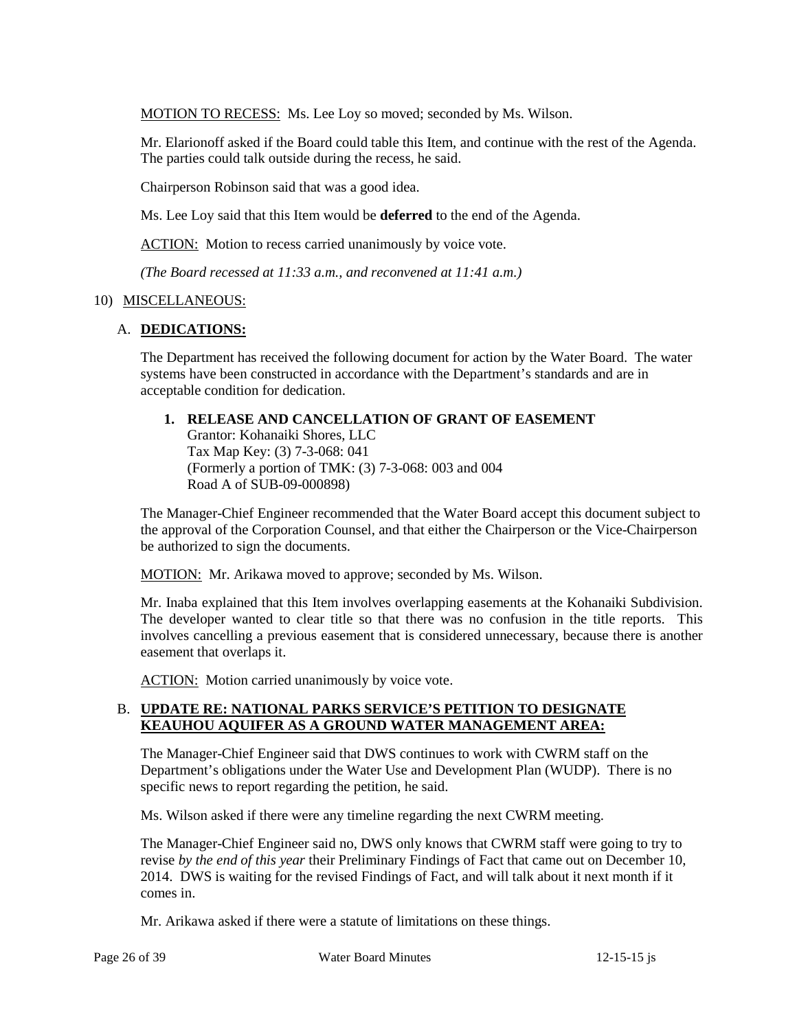MOTION TO RECESS: Ms. Lee Loy so moved; seconded by Ms. Wilson.

 Mr. Elarionoff asked if the Board could table this Item, and continue with the rest of the Agenda. The parties could talk outside during the recess, he said.

Chairperson Robinson said that was a good idea.

Ms. Lee Loy said that this Item would be **deferred** to the end of the Agenda.

ACTION: Motion to recess carried unanimously by voice vote.

 *(The Board recessed at 11:33 a.m., and reconvened at 11:41 a.m.)* 

### 10) MISCELLANEOUS:

### A. **DEDICATIONS:**

 The Department has received the following document for action by the Water Board. The water systems have been constructed in accordance with the Department's standards and are in acceptable condition for dedication.

# **1. RELEASE AND CANCELLATION OF GRANT OF EASEMENT**

Grantor: Kohanaiki Shores, LLC Tax Map Key: (3) 7-3-068: 041 (Formerly a portion of TMK: (3) 7-3-068: 003 and 004 Road A of SUB-09-000898)

 The Manager-Chief Engineer recommended that the Water Board accept this document subject to the approval of the Corporation Counsel, and that either the Chairperson or the Vice-Chairperson be authorized to sign the documents.

MOTION: Mr. Arikawa moved to approve; seconded by Ms. Wilson.

 Mr. Inaba explained that this Item involves overlapping easements at the Kohanaiki Subdivision. The developer wanted to clear title so that there was no confusion in the title reports. This involves cancelling a previous easement that is considered unnecessary, because there is another easement that overlaps it.

ACTION: Motion carried unanimously by voice vote.

### B. **UPDATE RE: NATIONAL PARKS SERVICE'S PETITION TO DESIGNATE KEAUHOU AQUIFER AS A GROUND WATER MANAGEMENT AREA:**

 The Manager-Chief Engineer said that DWS continues to work with CWRM staff on the Department's obligations under the Water Use and Development Plan (WUDP). There is no specific news to report regarding the petition, he said.

Ms. Wilson asked if there were any timeline regarding the next CWRM meeting.

 2014. DWS is waiting for the revised Findings of Fact, and will talk about it next month if it The Manager-Chief Engineer said no, DWS only knows that CWRM staff were going to try to revise *by the end of this year* their Preliminary Findings of Fact that came out on December 10, comes in.

Mr. Arikawa asked if there were a statute of limitations on these things.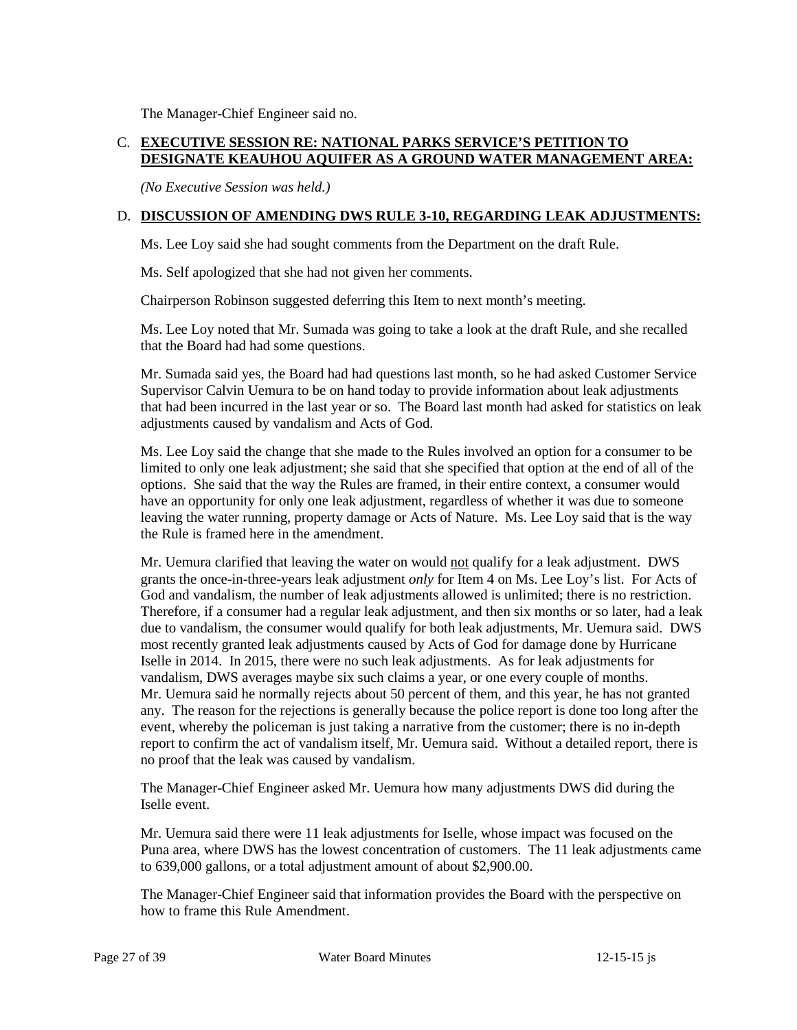The Manager-Chief Engineer said no.

# C. **EXECUTIVE SESSION RE: NATIONAL PARKS SERVICE'S PETITION TO DESIGNATE KEAUHOU AQUIFER AS A GROUND WATER MANAGEMENT AREA:**

*(No Executive Session was held.)* 

# D. **DISCUSSION OF AMENDING DWS RULE 3-10, REGARDING LEAK ADJUSTMENTS:**

Ms. Lee Loy said she had sought comments from the Department on the draft Rule.

Ms. Self apologized that she had not given her comments.

Chairperson Robinson suggested deferring this Item to next month's meeting.

 Ms. Lee Loy noted that Mr. Sumada was going to take a look at the draft Rule, and she recalled that the Board had had some questions.

 Mr. Sumada said yes, the Board had had questions last month, so he had asked Customer Service adjustments caused by vandalism and Acts of God. Supervisor Calvin Uemura to be on hand today to provide information about leak adjustments that had been incurred in the last year or so. The Board last month had asked for statistics on leak

 limited to only one leak adjustment; she said that she specified that option at the end of all of the Ms. Lee Loy said the change that she made to the Rules involved an option for a consumer to be options. She said that the way the Rules are framed, in their entire context, a consumer would have an opportunity for only one leak adjustment, regardless of whether it was due to someone leaving the water running, property damage or Acts of Nature. Ms. Lee Loy said that is the way the Rule is framed here in the amendment.

Mr. Uemura clarified that leaving the water on would not qualify for a leak adjustment. DWS grants the once-in-three-years leak adjustment *only* for Item 4 on Ms. Lee Loy's list. For Acts of God and vandalism, the number of leak adjustments allowed is unlimited; there is no restriction. Iselle in 2014. In 2015, there were no such leak adjustments. As for leak adjustments for vandalism, DWS averages maybe six such claims a year, or one every couple of months. Mr. Uemura said he normally rejects about 50 percent of them, and this year, he has not granted any. The reason for the rejections is generally because the police report is done too long after the Therefore, if a consumer had a regular leak adjustment, and then six months or so later, had a leak due to vandalism, the consumer would qualify for both leak adjustments, Mr. Uemura said. DWS most recently granted leak adjustments caused by Acts of God for damage done by Hurricane event, whereby the policeman is just taking a narrative from the customer; there is no in-depth report to confirm the act of vandalism itself, Mr. Uemura said. Without a detailed report, there is no proof that the leak was caused by vandalism.

The Manager-Chief Engineer asked Mr. Uemura how many adjustments DWS did during the Iselle event.

 Puna area, where DWS has the lowest concentration of customers. The 11 leak adjustments came Mr. Uemura said there were 11 leak adjustments for Iselle, whose impact was focused on the to 639,000 gallons, or a total adjustment amount of about \$2,900.00.

The Manager-Chief Engineer said that information provides the Board with the perspective on how to frame this Rule Amendment.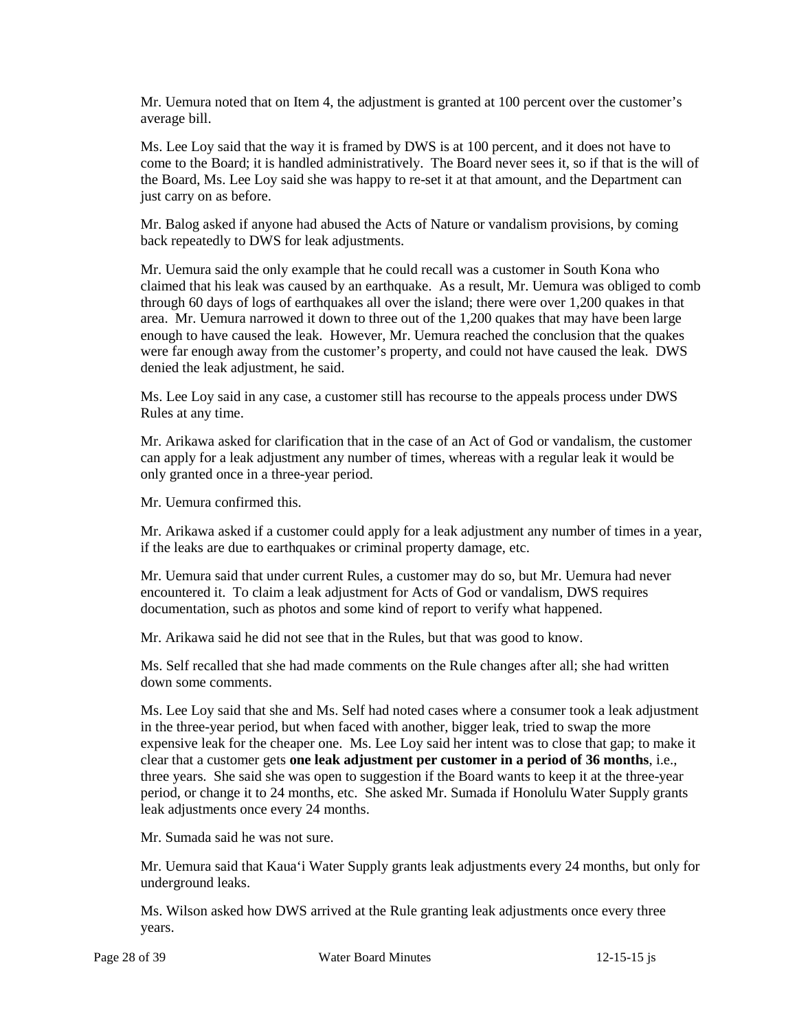Mr. Uemura noted that on Item 4, the adjustment is granted at 100 percent over the customer's average bill.

 Ms. Lee Loy said that the way it is framed by DWS is at 100 percent, and it does not have to come to the Board; it is handled administratively. The Board never sees it, so if that is the will of the Board, Ms. Lee Loy said she was happy to re-set it at that amount, and the Department can just carry on as before.

Mr. Balog asked if anyone had abused the Acts of Nature or vandalism provisions, by coming back repeatedly to DWS for leak adjustments.

 Mr. Uemura said the only example that he could recall was a customer in South Kona who claimed that his leak was caused by an earthquake. As a result, Mr. Uemura was obliged to comb through 60 days of logs of earthquakes all over the island; there were over 1,200 quakes in that area. Mr. Uemura narrowed it down to three out of the 1,200 quakes that may have been large enough to have caused the leak. However, Mr. Uemura reached the conclusion that the quakes were far enough away from the customer's property, and could not have caused the leak. DWS denied the leak adjustment, he said.

 Ms. Lee Loy said in any case, a customer still has recourse to the appeals process under DWS Rules at any time.

 only granted once in a three-year period. Mr. Arikawa asked for clarification that in the case of an Act of God or vandalism, the customer can apply for a leak adjustment any number of times, whereas with a regular leak it would be

Mr. Uemura confirmed this.

Mr. Arikawa asked if a customer could apply for a leak adjustment any number of times in a year, if the leaks are due to earthquakes or criminal property damage, etc.

 encountered it. To claim a leak adjustment for Acts of God or vandalism, DWS requires Mr. Uemura said that under current Rules, a customer may do so, but Mr. Uemura had never documentation, such as photos and some kind of report to verify what happened.

Mr. Arikawa said he did not see that in the Rules, but that was good to know.

 Ms. Self recalled that she had made comments on the Rule changes after all; she had written down some comments.

 expensive leak for the cheaper one. Ms. Lee Loy said her intent was to close that gap; to make it three years. She said she was open to suggestion if the Board wants to keep it at the three-year Ms. Lee Loy said that she and Ms. Self had noted cases where a consumer took a leak adjustment in the three-year period, but when faced with another, bigger leak, tried to swap the more clear that a customer gets **one leak adjustment per customer in a period of 36 months**, i.e., period, or change it to 24 months, etc. She asked Mr. Sumada if Honolulu Water Supply grants leak adjustments once every 24 months.

Mr. Sumada said he was not sure.

 Mr. Uemura said that Kaua'i Water Supply grants leak adjustments every 24 months, but only for underground leaks.

Ms. Wilson asked how DWS arrived at the Rule granting leak adjustments once every three years.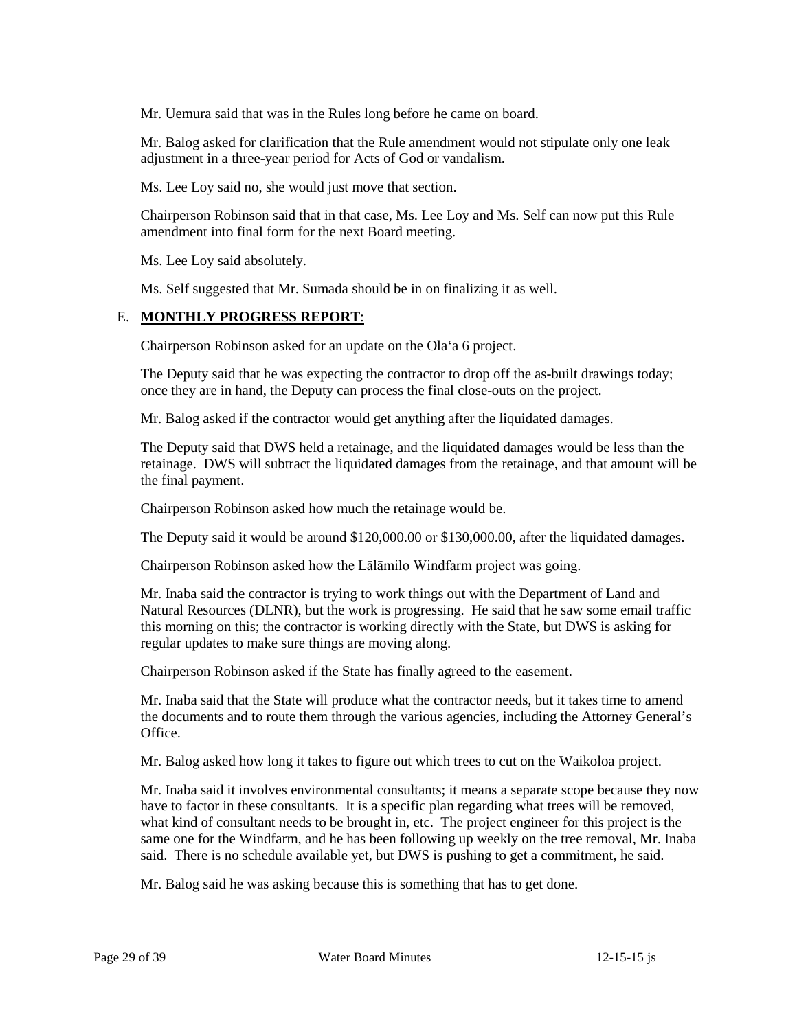Mr. Uemura said that was in the Rules long before he came on board.

 Mr. Balog asked for clarification that the Rule amendment would not stipulate only one leak adjustment in a three-year period for Acts of God or vandalism.

Ms. Lee Loy said no, she would just move that section.

Chairperson Robinson said that in that case, Ms. Lee Loy and Ms. Self can now put this Rule amendment into final form for the next Board meeting.

Ms. Lee Loy said absolutely.

Ms. Self suggested that Mr. Sumada should be in on finalizing it as well.

#### E. **MONTHLY PROGRESS REPORT**:

Chairperson Robinson asked for an update on the Ola'a 6 project.

The Deputy said that he was expecting the contractor to drop off the as-built drawings today; once they are in hand, the Deputy can process the final close-outs on the project.

Mr. Balog asked if the contractor would get anything after the liquidated damages.

 The Deputy said that DWS held a retainage, and the liquidated damages would be less than the retainage. DWS will subtract the liquidated damages from the retainage, and that amount will be the final payment.

Chairperson Robinson asked how much the retainage would be.

The Deputy said it would be around \$120,000.00 or \$130,000.00, after the liquidated damages.

Chairperson Robinson asked how the Lālāmilo Windfarm project was going.

 this morning on this; the contractor is working directly with the State, but DWS is asking for Mr. Inaba said the contractor is trying to work things out with the Department of Land and Natural Resources (DLNR), but the work is progressing. He said that he saw some email traffic regular updates to make sure things are moving along.

Chairperson Robinson asked if the State has finally agreed to the easement.

Mr. Inaba said that the State will produce what the contractor needs, but it takes time to amend the documents and to route them through the various agencies, including the Attorney General's **Office** 

Mr. Balog asked how long it takes to figure out which trees to cut on the Waikoloa project.

 Mr. Inaba said it involves environmental consultants; it means a separate scope because they now what kind of consultant needs to be brought in, etc. The project engineer for this project is the said. There is no schedule available yet, but DWS is pushing to get a commitment, he said. have to factor in these consultants. It is a specific plan regarding what trees will be removed, same one for the Windfarm, and he has been following up weekly on the tree removal, Mr. Inaba

Mr. Balog said he was asking because this is something that has to get done.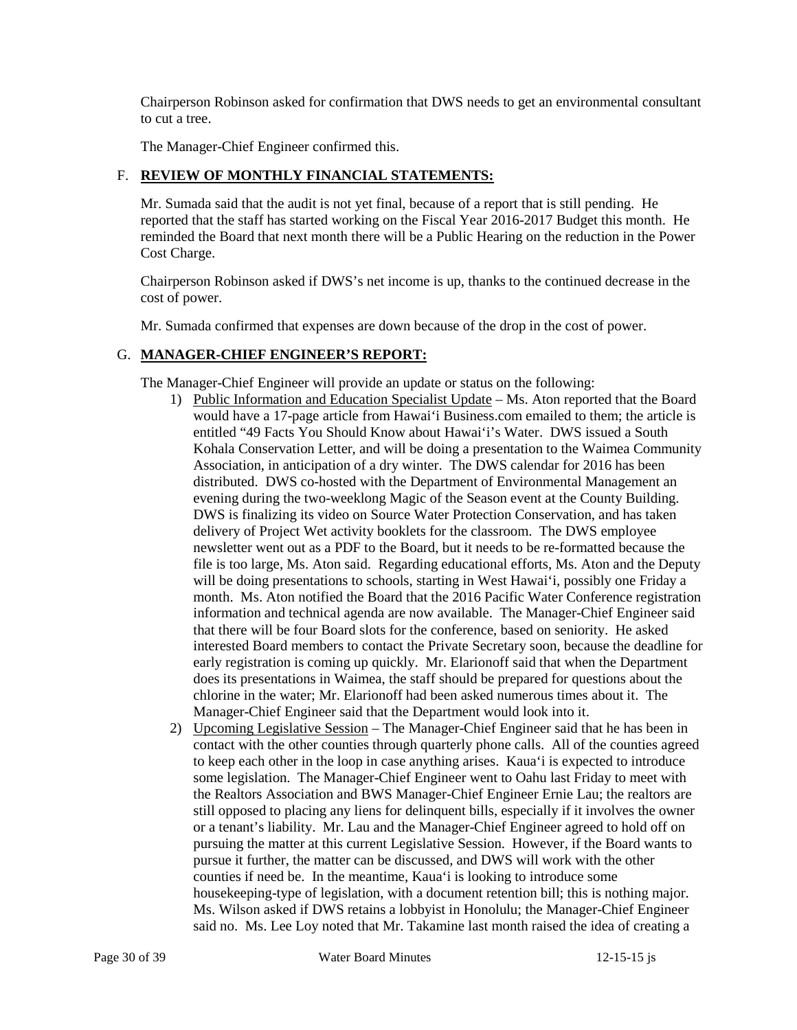Chairperson Robinson asked for confirmation that DWS needs to get an environmental consultant to cut a tree.

The Manager-Chief Engineer confirmed this.

# F. **REVIEW OF MONTHLY FINANCIAL STATEMENTS:**

 Mr. Sumada said that the audit is not yet final, because of a report that is still pending. He reported that the staff has started working on the Fiscal Year 2016-2017 Budget this month. He reminded the Board that next month there will be a Public Hearing on the reduction in the Power Cost Charge.

Chairperson Robinson asked if DWS's net income is up, thanks to the continued decrease in the cost of power.

Mr. Sumada confirmed that expenses are down because of the drop in the cost of power.

# G. **MANAGER-CHIEF ENGINEER'S REPORT:**

The Manager-Chief Engineer will provide an update or status on the following:

- evening during the two-weeklong Magic of the Season event at the County Building. newsletter went out as a PDF to the Board, but it needs to be re-formatted because the file is too large, Ms. Aton said. Regarding educational efforts, Ms. Aton and the Deputy will be doing presentations to schools, starting in West Hawai'i, possibly one Friday a information and technical agenda are now available. The Manager-Chief Engineer said does its presentations in Waimea, the staff should be prepared for questions about the chlorine in the water; Mr. Elarionoff had been asked numerous times about it. The Manager-Chief Engineer said that the Department would look into it. 1) Public Information and Education Specialist Update – Ms. Aton reported that the Board would have a 17-page article from Hawai'i Business.com emailed to them; the article is entitled "49 Facts You Should Know about Hawai'i's Water. DWS issued a South Kohala Conservation Letter, and will be doing a presentation to the Waimea Community Association, in anticipation of a dry winter. The DWS calendar for 2016 has been distributed. DWS co-hosted with the Department of Environmental Management an DWS is finalizing its video on Source Water Protection Conservation, and has taken delivery of Project Wet activity booklets for the classroom. The DWS employee month. Ms. Aton notified the Board that the 2016 Pacific Water Conference registration that there will be four Board slots for the conference, based on seniority. He asked interested Board members to contact the Private Secretary soon, because the deadline for early registration is coming up quickly. Mr. Elarionoff said that when the Department
- to keep each other in the loop in case anything arises. Kaua'i is expected to introduce pursuing the matter at this current Legislative Session. However, if the Board wants to pursue it further, the matter can be discussed, and DWS will work with the other counties if need be. In the meantime, Kaua'i is looking to introduce some 2) Upcoming Legislative Session – The Manager-Chief Engineer said that he has been in contact with the other counties through quarterly phone calls. All of the counties agreed some legislation. The Manager-Chief Engineer went to Oahu last Friday to meet with the Realtors Association and BWS Manager-Chief Engineer Ernie Lau; the realtors are still opposed to placing any liens for delinquent bills, especially if it involves the owner or a tenant's liability. Mr. Lau and the Manager-Chief Engineer agreed to hold off on housekeeping-type of legislation, with a document retention bill; this is nothing major. Ms. Wilson asked if DWS retains a lobbyist in Honolulu; the Manager-Chief Engineer said no. Ms. Lee Loy noted that Mr. Takamine last month raised the idea of creating a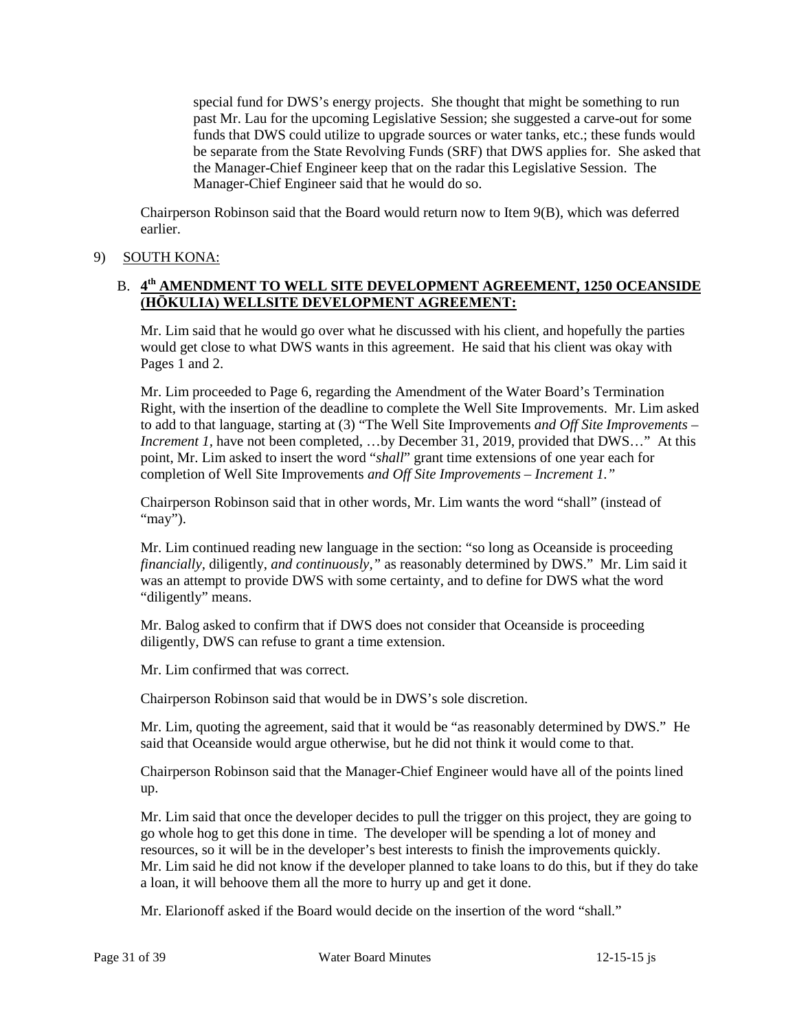past Mr. Lau for the upcoming Legislative Session; she suggested a carve-out for some funds that DWS could utilize to upgrade sources or water tanks, etc.; these funds would be separate from the State Revolving Funds (SRF) that DWS applies for. She asked that the Manager-Chief Engineer keep that on the radar this Legislative Session. The special fund for DWS's energy projects. She thought that might be something to run Manager-Chief Engineer said that he would do so.

Chairperson Robinson said that the Board would return now to Item 9(B), which was deferred earlier.

# 9) SOUTH KONA:

# B. 4<sup>th</sup> AMENDMENT TO WELL SITE DEVELOPMENT AGREEMENT, 1250 OCEANSIDE **(HŌKULIA) WELLSITE DEVELOPMENT AGREEMENT:**

 would get close to what DWS wants in this agreement. He said that his client was okay with Mr. Lim said that he would go over what he discussed with his client, and hopefully the parties Pages 1 and 2.

 Mr. Lim proceeded to Page 6, regarding the Amendment of the Water Board's Termination to add to that language, starting at (3) "The Well Site Improvements *and Off Site Improvements –*  Right, with the insertion of the deadline to complete the Well Site Improvements. Mr. Lim asked *Increment 1*, have not been completed, ...by December 31, 2019, provided that DWS..." At this point, Mr. Lim asked to insert the word "*shall*" grant time extensions of one year each for completion of Well Site Improvements *and Off Site Improvements – Increment 1."* 

 Chairperson Robinson said that in other words, Mr. Lim wants the word "shall" (instead of "may").

 *financially,* diligently, *and continuously,"* as reasonably determined by DWS." Mr. Lim said it Mr. Lim continued reading new language in the section: "so long as Oceanside is proceeding was an attempt to provide DWS with some certainty, and to define for DWS what the word "diligently" means.

Mr. Balog asked to confirm that if DWS does not consider that Oceanside is proceeding diligently, DWS can refuse to grant a time extension.

Mr. Lim confirmed that was correct.

Chairperson Robinson said that would be in DWS's sole discretion.

Mr. Lim, quoting the agreement, said that it would be "as reasonably determined by DWS." He said that Oceanside would argue otherwise, but he did not think it would come to that.

 Chairperson Robinson said that the Manager-Chief Engineer would have all of the points lined up.

 Mr. Lim said that once the developer decides to pull the trigger on this project, they are going to go whole hog to get this done in time. The developer will be spending a lot of money and resources, so it will be in the developer's best interests to finish the improvements quickly. resources, so it will be in the developer's best interests to finish the improvements quickly. Mr. Lim said he did not know if the developer planned to take loans to do this, but if they do take a loan, it will behoove them all the more to hurry up and get it done.

Mr. Elarionoff asked if the Board would decide on the insertion of the word "shall."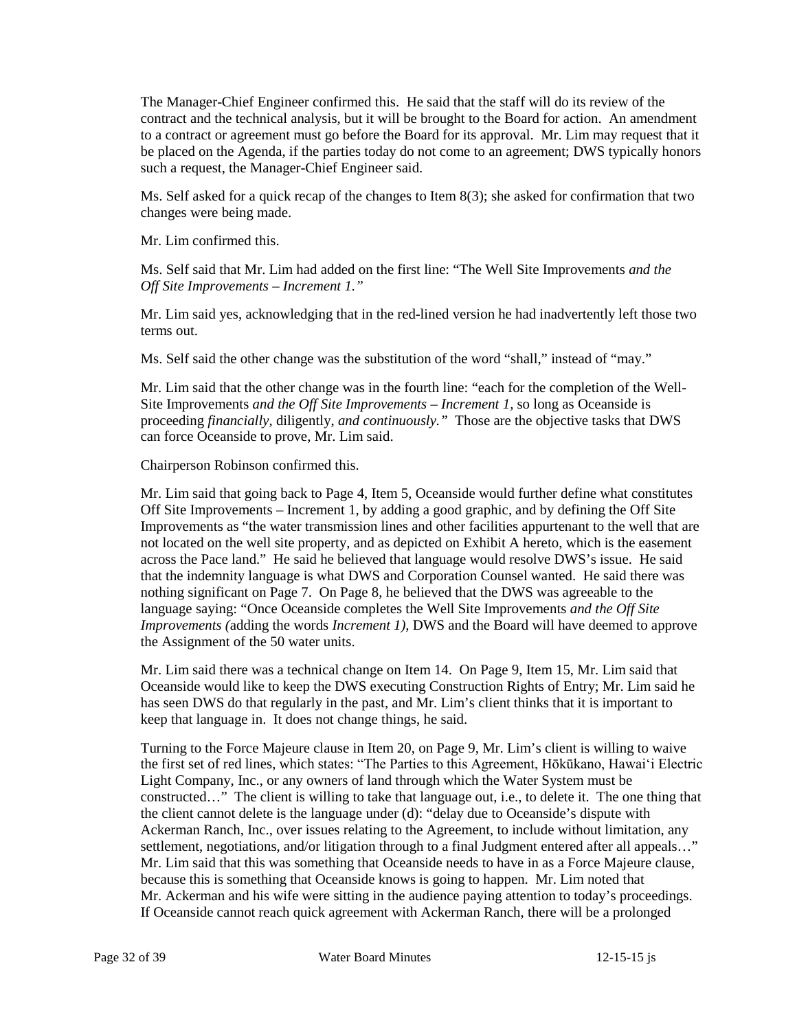The Manager-Chief Engineer confirmed this. He said that the staff will do its review of the contract and the technical analysis, but it will be brought to the Board for action. An amendment to a contract or agreement must go before the Board for its approval. Mr. Lim may request that it be placed on the Agenda, if the parties today do not come to an agreement; DWS typically honors such a request, the Manager-Chief Engineer said.

 Ms. Self asked for a quick recap of the changes to Item 8(3); she asked for confirmation that two changes were being made.

Mr. Lim confirmed this.

 Ms. Self said that Mr. Lim had added on the first line: "The Well Site Improvements *and the Off Site Improvements – Increment 1."* 

 Mr. Lim said yes, acknowledging that in the red-lined version he had inadvertently left those two terms out.

Ms. Self said the other change was the substitution of the word "shall," instead of "may."

 Mr. Lim said that the other change was in the fourth line: "each for the completion of the Well- proceeding *financially,* diligently, *and continuously."* Those are the objective tasks that DWS Site Improvements *and the Off Site Improvements – Increment 1,* so long as Oceanside is can force Oceanside to prove, Mr. Lim said.

Chairperson Robinson confirmed this.

 Improvements as "the water transmission lines and other facilities appurtenant to the well that are Mr. Lim said that going back to Page 4, Item 5, Oceanside would further define what constitutes Off Site Improvements – Increment 1, by adding a good graphic, and by defining the Off Site not located on the well site property, and as depicted on Exhibit A hereto, which is the easement across the Pace land." He said he believed that language would resolve DWS's issue. He said that the indemnity language is what DWS and Corporation Counsel wanted. He said there was nothing significant on Page 7. On Page 8, he believed that the DWS was agreeable to the language saying: "Once Oceanside completes the Well Site Improvements *and the Off Site Improvements (*adding the words *Increment 1),* DWS and the Board will have deemed to approve the Assignment of the 50 water units.

 Mr. Lim said there was a technical change on Item 14. On Page 9, Item 15, Mr. Lim said that has seen DWS do that regularly in the past, and Mr. Lim's client thinks that it is important to Oceanside would like to keep the DWS executing Construction Rights of Entry; Mr. Lim said he keep that language in. It does not change things, he said.

 the first set of red lines, which states: "The Parties to this Agreement, Hōkūkano, Hawai'i Electric Light Company, Inc., or any owners of land through which the Water System must be constructed…" The client is willing to take that language out, i.e., to delete it. The one thing that the client cannot delete is the language under (d): "delay due to Oceanside's dispute with settlement, negotiations, and/or litigation through to a final Judgment entered after all appeals…" Mr. Ackerman and his wife were sitting in the audience paying attention to today's proceedings. Turning to the Force Majeure clause in Item 20, on Page 9, Mr. Lim's client is willing to waive Ackerman Ranch, Inc., over issues relating to the Agreement, to include without limitation, any Mr. Lim said that this was something that Oceanside needs to have in as a Force Majeure clause, because this is something that Oceanside knows is going to happen. Mr. Lim noted that If Oceanside cannot reach quick agreement with Ackerman Ranch, there will be a prolonged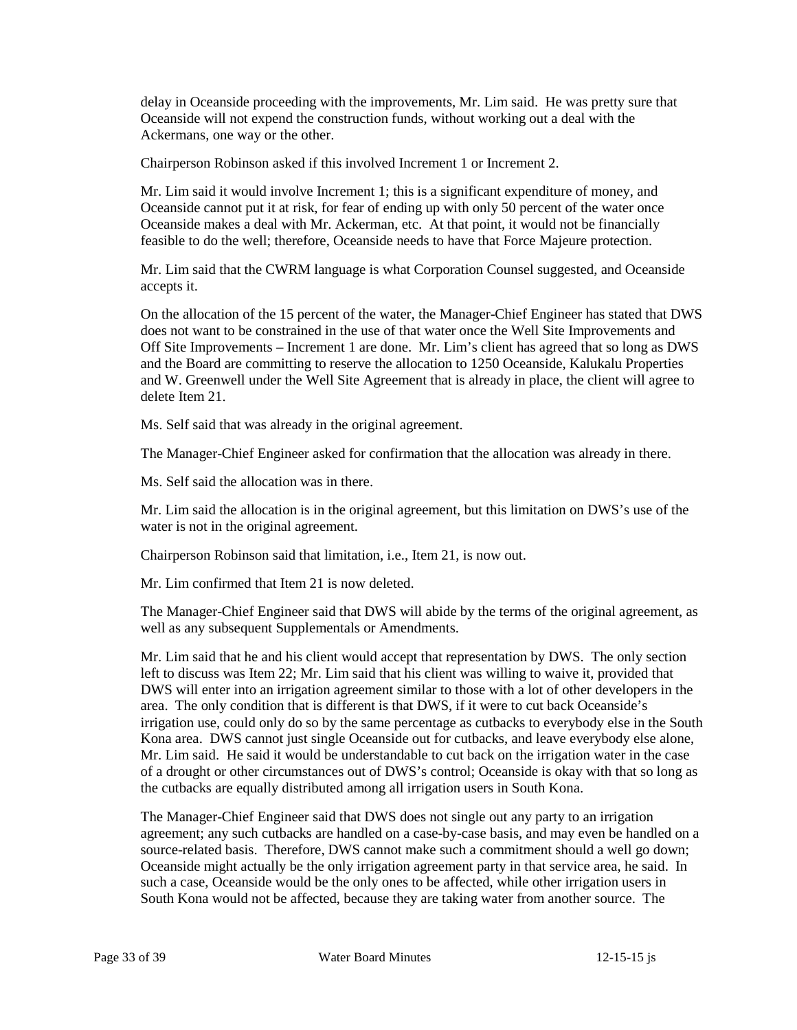delay in Oceanside proceeding with the improvements, Mr. Lim said. He was pretty sure that Oceanside will not expend the construction funds, without working out a deal with the Ackermans, one way or the other.

Chairperson Robinson asked if this involved Increment 1 or Increment 2.

 Mr. Lim said it would involve Increment 1; this is a significant expenditure of money, and Oceanside makes a deal with Mr. Ackerman, etc. At that point, it would not be financially Oceanside cannot put it at risk, for fear of ending up with only 50 percent of the water once feasible to do the well; therefore, Oceanside needs to have that Force Majeure protection.

Mr. Lim said that the CWRM language is what Corporation Counsel suggested, and Oceanside accepts it.

 On the allocation of the 15 percent of the water, the Manager-Chief Engineer has stated that DWS does not want to be constrained in the use of that water once the Well Site Improvements and Off Site Improvements – Increment 1 are done. Mr. Lim's client has agreed that so long as DWS and the Board are committing to reserve the allocation to 1250 Oceanside, Kalukalu Properties and W. Greenwell under the Well Site Agreement that is already in place, the client will agree to delete Item 21.

Ms. Self said that was already in the original agreement.

The Manager-Chief Engineer asked for confirmation that the allocation was already in there.

Ms. Self said the allocation was in there.

 Mr. Lim said the allocation is in the original agreement, but this limitation on DWS's use of the water is not in the original agreement.

Chairperson Robinson said that limitation, i.e., Item 21, is now out.

Mr. Lim confirmed that Item 21 is now deleted.

The Manager-Chief Engineer said that DWS will abide by the terms of the original agreement, as well as any subsequent Supplementals or Amendments.

 DWS will enter into an irrigation agreement similar to those with a lot of other developers in the area. The only condition that is different is that DWS, if it were to cut back Oceanside's irrigation use, could only do so by the same percentage as cutbacks to everybody else in the South Kona area. DWS cannot just single Oceanside out for cutbacks, and leave everybody else alone, Mr. Lim said. He said it would be understandable to cut back on the irrigation water in the case Mr. Lim said that he and his client would accept that representation by DWS. The only section left to discuss was Item 22; Mr. Lim said that his client was willing to waive it, provided that of a drought or other circumstances out of DWS's control; Oceanside is okay with that so long as the cutbacks are equally distributed among all irrigation users in South Kona.

 such a case, Oceanside would be the only ones to be affected, while other irrigation users in South Kona would not be affected, because they are taking water from another source. The The Manager-Chief Engineer said that DWS does not single out any party to an irrigation agreement; any such cutbacks are handled on a case-by-case basis, and may even be handled on a source-related basis. Therefore, DWS cannot make such a commitment should a well go down; Oceanside might actually be the only irrigation agreement party in that service area, he said. In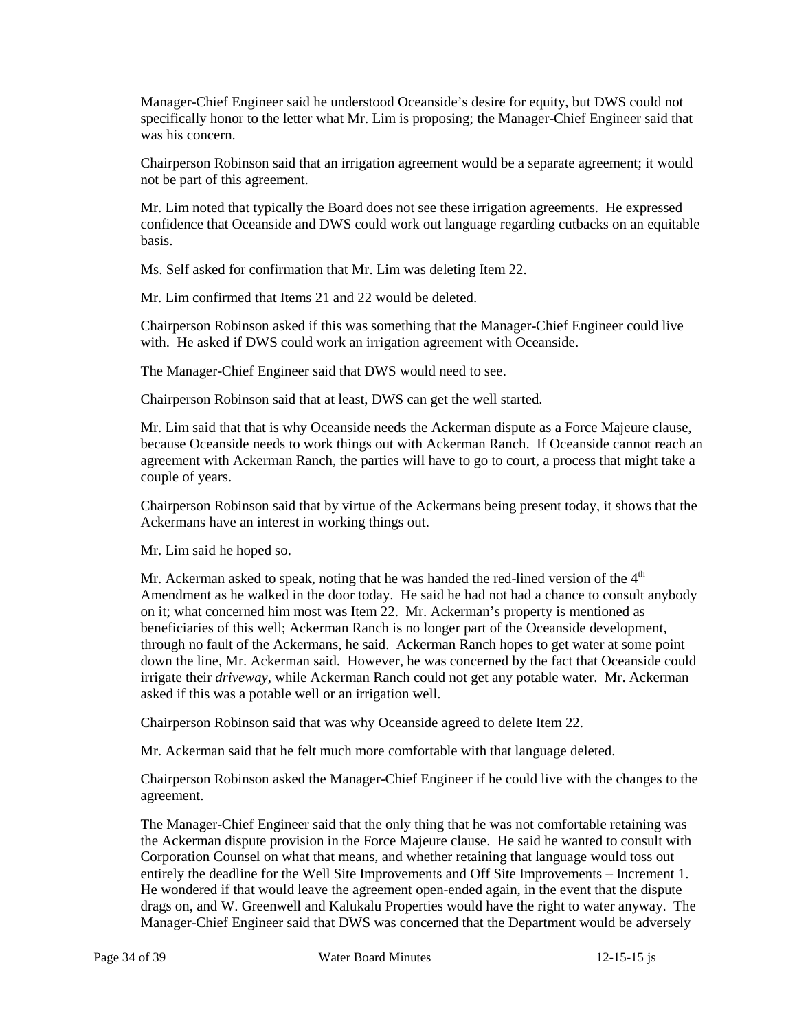Manager-Chief Engineer said he understood Oceanside's desire for equity, but DWS could not specifically honor to the letter what Mr. Lim is proposing; the Manager-Chief Engineer said that was his concern.

Chairperson Robinson said that an irrigation agreement would be a separate agreement; it would not be part of this agreement.

 Mr. Lim noted that typically the Board does not see these irrigation agreements. He expressed confidence that Oceanside and DWS could work out language regarding cutbacks on an equitable basis.

Ms. Self asked for confirmation that Mr. Lim was deleting Item 22.

Mr. Lim confirmed that Items 21 and 22 would be deleted.

 Chairperson Robinson asked if this was something that the Manager-Chief Engineer could live with. He asked if DWS could work an irrigation agreement with Oceanside.

The Manager-Chief Engineer said that DWS would need to see.

Chairperson Robinson said that at least, DWS can get the well started.

 Mr. Lim said that that is why Oceanside needs the Ackerman dispute as a Force Majeure clause, because Oceanside needs to work things out with Ackerman Ranch. If Oceanside cannot reach an agreement with Ackerman Ranch, the parties will have to go to court, a process that might take a couple of years.

 Chairperson Robinson said that by virtue of the Ackermans being present today, it shows that the Ackermans have an interest in working things out.

Mr. Lim said he hoped so.

 through no fault of the Ackermans, he said. Ackerman Ranch hopes to get water at some point irrigate their *driveway,* while Ackerman Ranch could not get any potable water. Mr. Ackerman Mr. Ackerman asked to speak, noting that he was handed the red-lined version of the  $4<sup>th</sup>$ Amendment as he walked in the door today. He said he had not had a chance to consult anybody on it; what concerned him most was Item 22. Mr. Ackerman's property is mentioned as beneficiaries of this well; Ackerman Ranch is no longer part of the Oceanside development, down the line, Mr. Ackerman said. However, he was concerned by the fact that Oceanside could asked if this was a potable well or an irrigation well.

Chairperson Robinson said that was why Oceanside agreed to delete Item 22.

Mr. Ackerman said that he felt much more comfortable with that language deleted.

 Chairperson Robinson asked the Manager-Chief Engineer if he could live with the changes to the agreement.

 the Ackerman dispute provision in the Force Majeure clause. He said he wanted to consult with He wondered if that would leave the agreement open-ended again, in the event that the dispute drags on, and W. Greenwell and Kalukalu Properties would have the right to water anyway. The The Manager-Chief Engineer said that the only thing that he was not comfortable retaining was Corporation Counsel on what that means, and whether retaining that language would toss out entirely the deadline for the Well Site Improvements and Off Site Improvements – Increment 1. Manager-Chief Engineer said that DWS was concerned that the Department would be adversely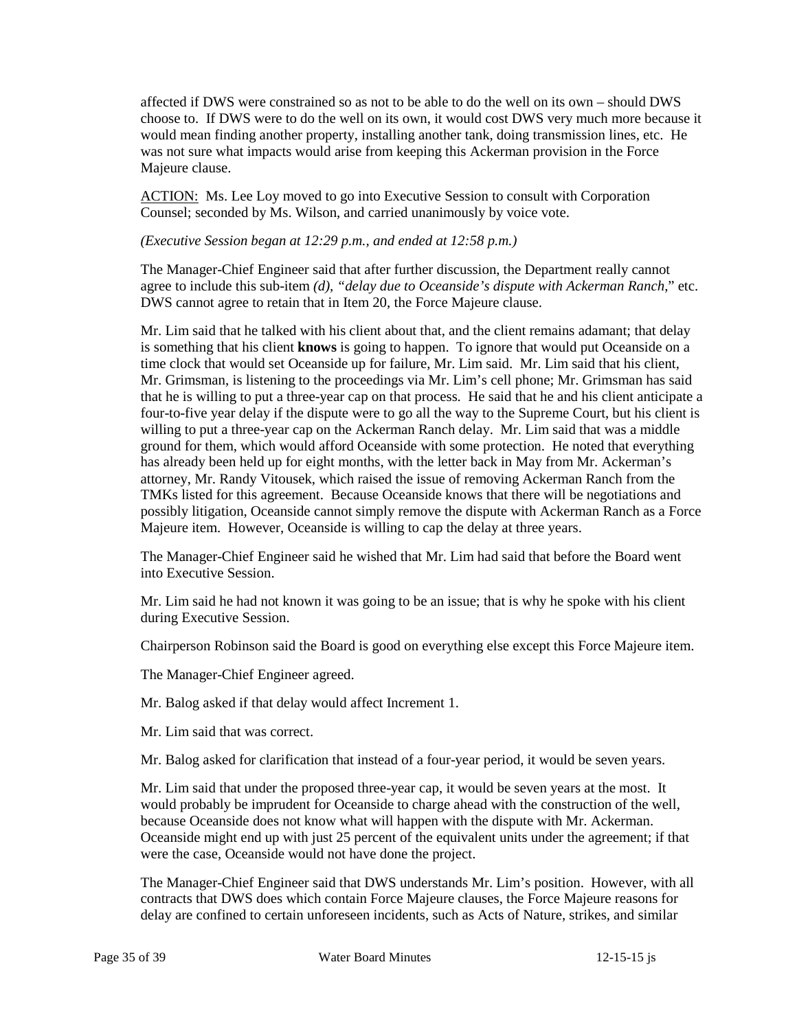affected if DWS were constrained so as not to be able to do the well on its own – should DWS choose to. If DWS were to do the well on its own, it would cost DWS very much more because it would mean finding another property, installing another tank, doing transmission lines, etc. He was not sure what impacts would arise from keeping this Ackerman provision in the Force Majeure clause.

ACTION: Ms. Lee Loy moved to go into Executive Session to consult with Corporation Counsel; seconded by Ms. Wilson, and carried unanimously by voice vote.

#### *(Executive Session began at 12:29 p.m., and ended at 12:58 p.m.)*

 agree to include this sub-item *(d), "delay due to Oceanside's dispute with Ackerman Ranch*," etc. DWS cannot agree to retain that in Item 20, the Force Majeure clause. The Manager-Chief Engineer said that after further discussion, the Department really cannot

 Mr. Lim said that he talked with his client about that, and the client remains adamant; that delay time clock that would set Oceanside up for failure, Mr. Lim said. Mr. Lim said that his client, is something that his client **knows** is going to happen. To ignore that would put Oceanside on a Mr. Grimsman, is listening to the proceedings via Mr. Lim's cell phone; Mr. Grimsman has said that he is willing to put a three-year cap on that process. He said that he and his client anticipate a four-to-five year delay if the dispute were to go all the way to the Supreme Court, but his client is willing to put a three-year cap on the Ackerman Ranch delay. Mr. Lim said that was a middle ground for them, which would afford Oceanside with some protection. He noted that everything has already been held up for eight months, with the letter back in May from Mr. Ackerman's attorney, Mr. Randy Vitousek, which raised the issue of removing Ackerman Ranch from the TMKs listed for this agreement. Because Oceanside knows that there will be negotiations and possibly litigation, Oceanside cannot simply remove the dispute with Ackerman Ranch as a Force Majeure item. However, Oceanside is willing to cap the delay at three years.

The Manager-Chief Engineer said he wished that Mr. Lim had said that before the Board went into Executive Session.

 Mr. Lim said he had not known it was going to be an issue; that is why he spoke with his client during Executive Session.

Chairperson Robinson said the Board is good on everything else except this Force Majeure item.

The Manager-Chief Engineer agreed.

Mr. Balog asked if that delay would affect Increment 1.

Mr. Lim said that was correct.

Mr. Balog asked for clarification that instead of a four-year period, it would be seven years.

 Mr. Lim said that under the proposed three-year cap, it would be seven years at the most. It would probably be imprudent for Oceanside to charge ahead with the construction of the well, because Oceanside does not know what will happen with the dispute with Mr. Ackerman. Oceanside might end up with just 25 percent of the equivalent units under the agreement; if that were the case, Oceanside would not have done the project.

 delay are confined to certain unforeseen incidents, such as Acts of Nature, strikes, and similar The Manager-Chief Engineer said that DWS understands Mr. Lim's position. However, with all contracts that DWS does which contain Force Majeure clauses, the Force Majeure reasons for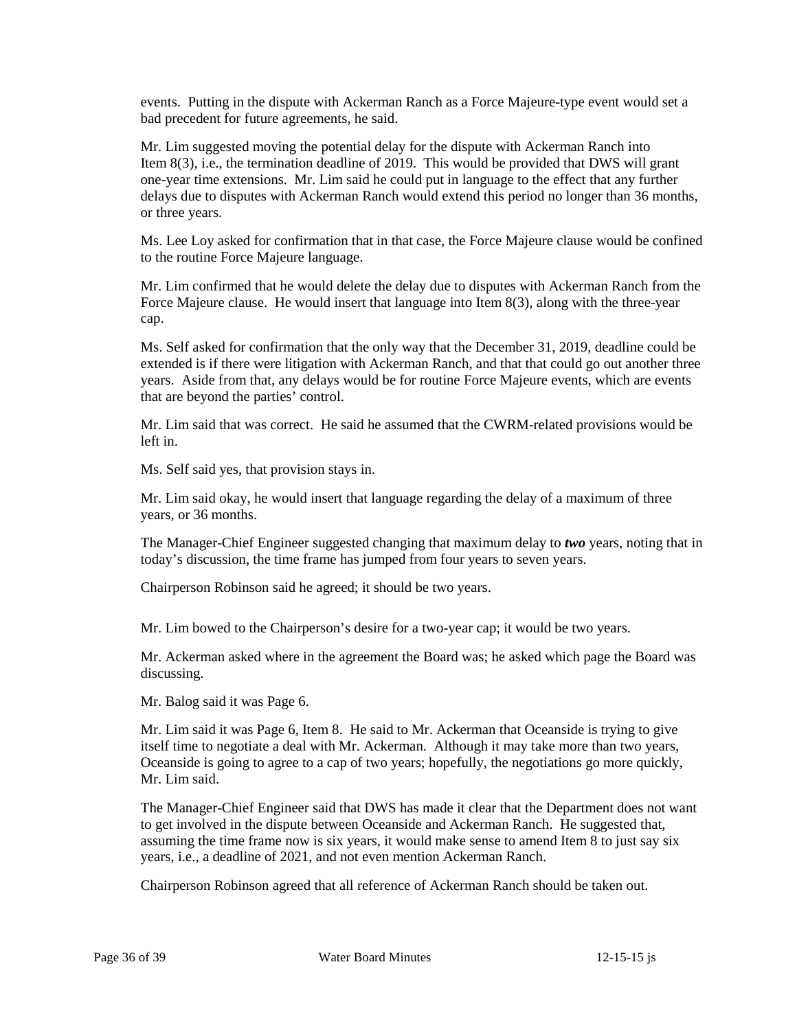events. Putting in the dispute with Ackerman Ranch as a Force Majeure-type event would set a bad precedent for future agreements, he said.

 Mr. Lim suggested moving the potential delay for the dispute with Ackerman Ranch into Item 8(3), i.e., the termination deadline of 2019. This would be provided that DWS will grant one-year time extensions. Mr. Lim said he could put in language to the effect that any further delays due to disputes with Ackerman Ranch would extend this period no longer than 36 months, or three years.

 Ms. Lee Loy asked for confirmation that in that case, the Force Majeure clause would be confined to the routine Force Majeure language.

 Mr. Lim confirmed that he would delete the delay due to disputes with Ackerman Ranch from the Force Majeure clause. He would insert that language into Item 8(3), along with the three-year cap.

 Ms. Self asked for confirmation that the only way that the December 31, 2019, deadline could be extended is if there were litigation with Ackerman Ranch, and that that could go out another three years. Aside from that, any delays would be for routine Force Majeure events, which are events that are beyond the parties' control.

Mr. Lim said that was correct. He said he assumed that the CWRM-related provisions would be left in.

Ms. Self said yes, that provision stays in.

 years, or 36 months. Mr. Lim said okay, he would insert that language regarding the delay of a maximum of three

The Manager-Chief Engineer suggested changing that maximum delay to *two* years, noting that in today's discussion, the time frame has jumped from four years to seven years.

Chairperson Robinson said he agreed; it should be two years.

Mr. Lim bowed to the Chairperson's desire for a two-year cap; it would be two years.

Mr. Ackerman asked where in the agreement the Board was; he asked which page the Board was discussing.

Mr. Balog said it was Page 6.

Mr. Lim said it was Page 6, Item 8. He said to Mr. Ackerman that Oceanside is trying to give itself time to negotiate a deal with Mr. Ackerman. Although it may take more than two years, Oceanside is going to agree to a cap of two years; hopefully, the negotiations go more quickly, Mr. Lim said.

 assuming the time frame now is six years, it would make sense to amend Item 8 to just say six The Manager-Chief Engineer said that DWS has made it clear that the Department does not want to get involved in the dispute between Oceanside and Ackerman Ranch. He suggested that, years, i.e., a deadline of 2021, and not even mention Ackerman Ranch.

Chairperson Robinson agreed that all reference of Ackerman Ranch should be taken out.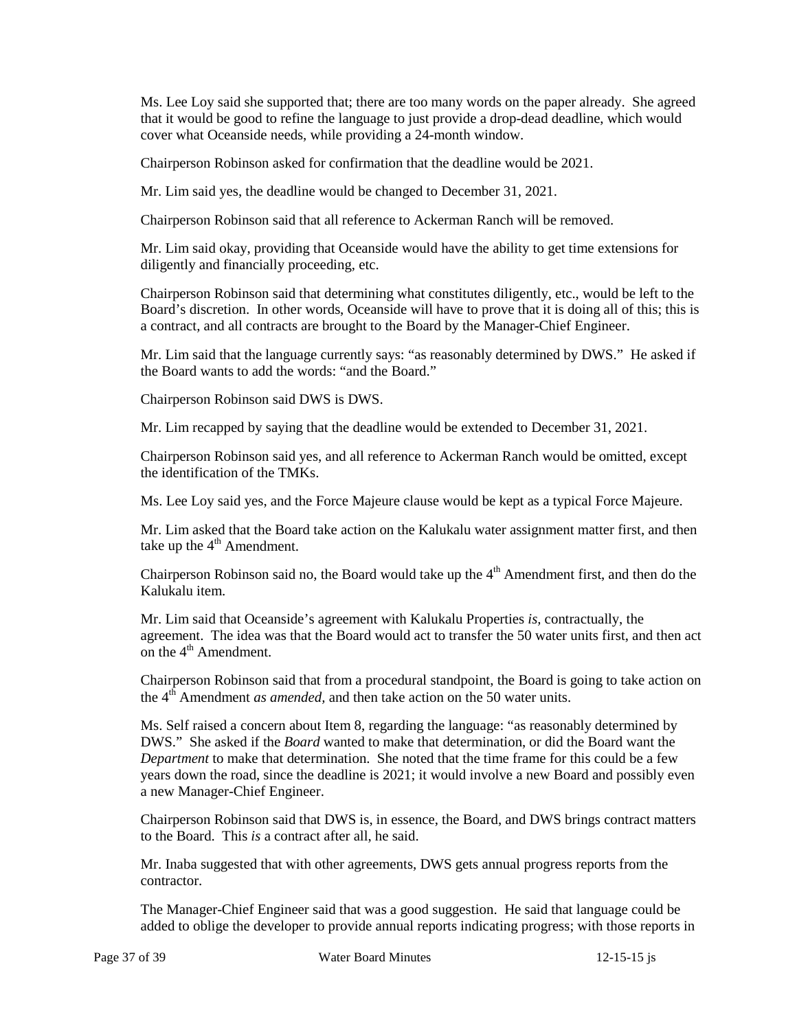Ms. Lee Loy said she supported that; there are too many words on the paper already. She agreed that it would be good to refine the language to just provide a drop-dead deadline, which would cover what Oceanside needs, while providing a 24-month window.

Chairperson Robinson asked for confirmation that the deadline would be 2021.

Mr. Lim said yes, the deadline would be changed to December 31, 2021.

Chairperson Robinson said that all reference to Ackerman Ranch will be removed.

Mr. Lim said okay, providing that Oceanside would have the ability to get time extensions for diligently and financially proceeding, etc.

 Board's discretion. In other words, Oceanside will have to prove that it is doing all of this; this is Chairperson Robinson said that determining what constitutes diligently, etc., would be left to the a contract, and all contracts are brought to the Board by the Manager-Chief Engineer.

 Mr. Lim said that the language currently says: "as reasonably determined by DWS." He asked if the Board wants to add the words: "and the Board."

Chairperson Robinson said DWS is DWS.

Mr. Lim recapped by saying that the deadline would be extended to December 31, 2021.

 Chairperson Robinson said yes, and all reference to Ackerman Ranch would be omitted, except the identification of the TMKs.

Ms. Lee Loy said yes, and the Force Majeure clause would be kept as a typical Force Majeure.

Mr. Lim asked that the Board take action on the Kalukalu water assignment matter first, and then take up the  $4<sup>th</sup>$  Amendment.

Chairperson Robinson said no, the Board would take up the  $4<sup>th</sup>$  Amendment first, and then do the Kalukalu item.

 agreement. The idea was that the Board would act to transfer the 50 water units first, and then act Mr. Lim said that Oceanside's agreement with Kalukalu Properties *is,* contractually, the on the  $4<sup>th</sup>$  Amendment.

 the 4th Amendment *as amended,* and then take action on the 50 water units. Chairperson Robinson said that from a procedural standpoint, the Board is going to take action on

 DWS." She asked if the *Board* wanted to make that determination, or did the Board want the years down the road, since the deadline is 2021; it would involve a new Board and possibly even Ms. Self raised a concern about Item 8, regarding the language: "as reasonably determined by *Department* to make that determination. She noted that the time frame for this could be a few a new Manager-Chief Engineer.

 Chairperson Robinson said that DWS is, in essence, the Board, and DWS brings contract matters to the Board. This *is* a contract after all, he said.

Mr. Inaba suggested that with other agreements, DWS gets annual progress reports from the contractor.

The Manager-Chief Engineer said that was a good suggestion. He said that language could be added to oblige the developer to provide annual reports indicating progress; with those reports in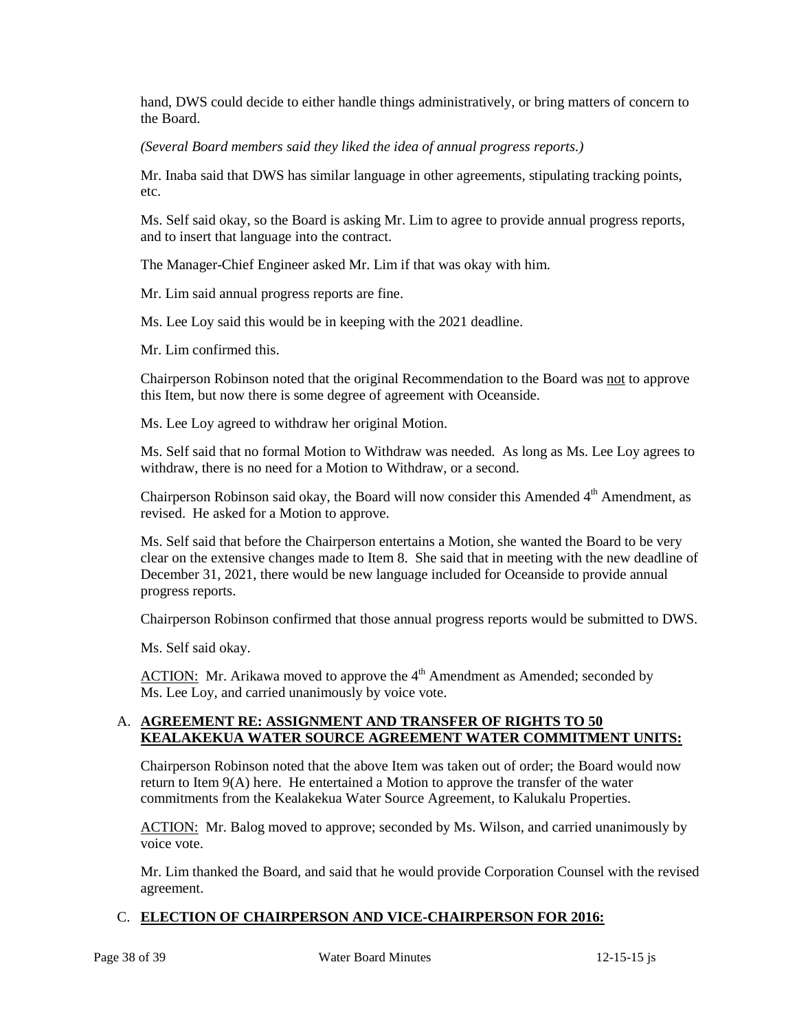hand, DWS could decide to either handle things administratively, or bring matters of concern to the Board.

 *(Several Board members said they liked the idea of annual progress reports.)* 

Mr. Inaba said that DWS has similar language in other agreements, stipulating tracking points, etc.

Ms. Self said okay, so the Board is asking Mr. Lim to agree to provide annual progress reports, and to insert that language into the contract.

The Manager-Chief Engineer asked Mr. Lim if that was okay with him.

Mr. Lim said annual progress reports are fine.

Ms. Lee Loy said this would be in keeping with the 2021 deadline.

Mr. Lim confirmed this.

Chairperson Robinson noted that the original Recommendation to the Board was not to approve this Item, but now there is some degree of agreement with Oceanside.

Ms. Lee Loy agreed to withdraw her original Motion.

 Ms. Self said that no formal Motion to Withdraw was needed. As long as Ms. Lee Loy agrees to withdraw, there is no need for a Motion to Withdraw, or a second.

 revised. He asked for a Motion to approve. Chairperson Robinson said okay, the Board will now consider this Amended  $4<sup>th</sup>$  Amendment, as

 Ms. Self said that before the Chairperson entertains a Motion, she wanted the Board to be very December 31, 2021, there would be new language included for Oceanside to provide annual clear on the extensive changes made to Item 8. She said that in meeting with the new deadline of progress reports.

Chairperson Robinson confirmed that those annual progress reports would be submitted to DWS.

Ms. Self said okay.

 $\overline{ACTION}$ : Mr. Arikawa moved to approve the  $4<sup>th</sup>$  Amendment as Amended; seconded by Ms. Lee Loy, and carried unanimously by voice vote.

# A. **AGREEMENT RE: ASSIGNMENT AND TRANSFER OF RIGHTS TO 50 KEALAKEKUA WATER SOURCE AGREEMENT WATER COMMITMENT UNITS:**

 return to Item 9(A) here. He entertained a Motion to approve the transfer of the water Chairperson Robinson noted that the above Item was taken out of order; the Board would now commitments from the Kealakekua Water Source Agreement, to Kalukalu Properties.

ACTION: Mr. Balog moved to approve; seconded by Ms. Wilson, and carried unanimously by voice vote.

 Mr. Lim thanked the Board, and said that he would provide Corporation Counsel with the revised agreement.

# C. **ELECTION OF CHAIRPERSON AND VICE-CHAIRPERSON FOR 2016:**